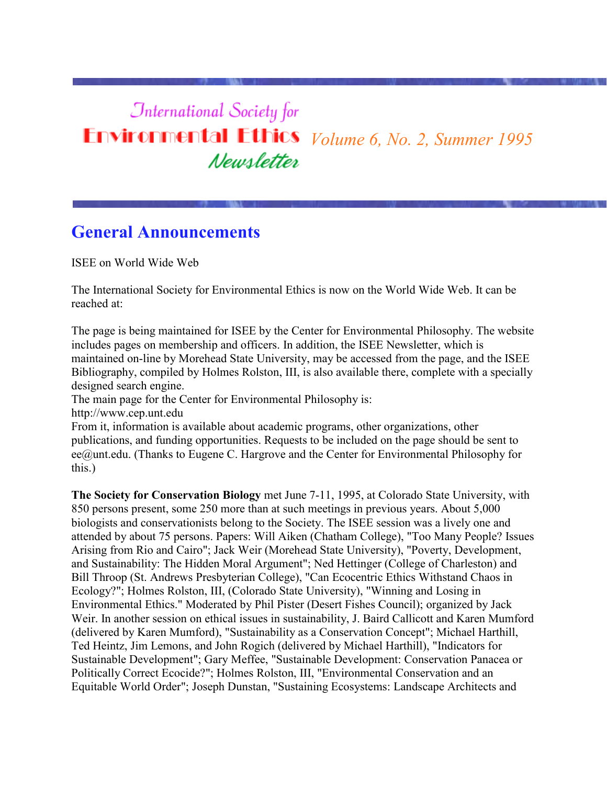# *<u>International Society</u>* for **Environmental Ethics** *Volume 6, No. 2, Summer 1995* Newsletter

# **General Announcements**

ISEE on World Wide Web

The International Society for Environmental Ethics is now on the World Wide Web. It can be reached at:

The page is being maintained for ISEE by the Center for Environmental Philosophy. The website includes pages on membership and officers. In addition, the ISEE Newsletter, which is maintained on-line by Morehead State University, may be accessed from the page, and the ISEE Bibliography, compiled by Holmes Rolston, III, is also available there, complete with a specially designed search engine.

The main page for the Center for Environmental Philosophy is:

http://www.cep.unt.edu

From it, information is available about academic programs, other organizations, other publications, and funding opportunities. Requests to be included on the page should be sent to ee@unt.edu. (Thanks to Eugene C. Hargrove and the Center for Environmental Philosophy for this.)

**The Society for Conservation Biology** met June 7-11, 1995, at Colorado State University, with 850 persons present, some 250 more than at such meetings in previous years. About 5,000 biologists and conservationists belong to the Society. The ISEE session was a lively one and attended by about 75 persons. Papers: Will Aiken (Chatham College), "Too Many People? Issues Arising from Rio and Cairo"; Jack Weir (Morehead State University), "Poverty, Development, and Sustainability: The Hidden Moral Argument"; Ned Hettinger (College of Charleston) and Bill Throop (St. Andrews Presbyterian College), "Can Ecocentric Ethics Withstand Chaos in Ecology?"; Holmes Rolston, III, (Colorado State University), "Winning and Losing in Environmental Ethics." Moderated by Phil Pister (Desert Fishes Council); organized by Jack Weir. In another session on ethical issues in sustainability, J. Baird Callicott and Karen Mumford (delivered by Karen Mumford), "Sustainability as a Conservation Concept"; Michael Harthill, Ted Heintz, Jim Lemons, and John Rogich (delivered by Michael Harthill), "Indicators for Sustainable Development"; Gary Meffee, "Sustainable Development: Conservation Panacea or Politically Correct Ecocide?"; Holmes Rolston, III, "Environmental Conservation and an Equitable World Order"; Joseph Dunstan, "Sustaining Ecosystems: Landscape Architects and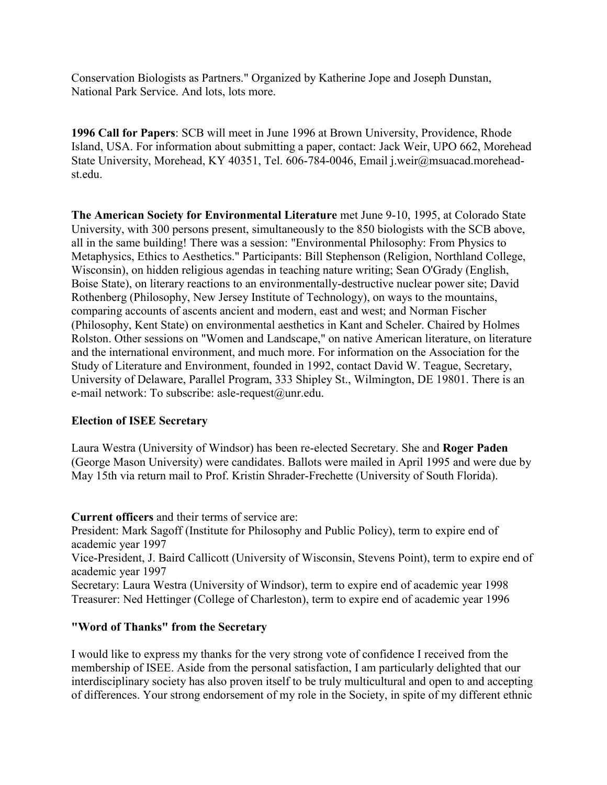Conservation Biologists as Partners." Organized by Katherine Jope and Joseph Dunstan, National Park Service. And lots, lots more.

**1996 Call for Papers**: SCB will meet in June 1996 at Brown University, Providence, Rhode Island, USA. For information about submitting a paper, contact: Jack Weir, UPO 662, Morehead State University, Morehead, KY 40351, Tel. 606-784-0046, Email j.weir@msuacad.moreheadst.edu.

**The American Society for Environmental Literature** met June 9-10, 1995, at Colorado State University, with 300 persons present, simultaneously to the 850 biologists with the SCB above, all in the same building! There was a session: "Environmental Philosophy: From Physics to Metaphysics, Ethics to Aesthetics." Participants: Bill Stephenson (Religion, Northland College, Wisconsin), on hidden religious agendas in teaching nature writing; Sean O'Grady (English, Boise State), on literary reactions to an environmentally-destructive nuclear power site; David Rothenberg (Philosophy, New Jersey Institute of Technology), on ways to the mountains, comparing accounts of ascents ancient and modern, east and west; and Norman Fischer (Philosophy, Kent State) on environmental aesthetics in Kant and Scheler. Chaired by Holmes Rolston. Other sessions on "Women and Landscape," on native American literature, on literature and the international environment, and much more. For information on the Association for the Study of Literature and Environment, founded in 1992, contact David W. Teague, Secretary, University of Delaware, Parallel Program, 333 Shipley St., Wilmington, DE 19801. There is an e-mail network: To subscribe: asle-request@unr.edu.

#### **Election of ISEE Secretary**

Laura Westra (University of Windsor) has been re-elected Secretary. She and **Roger Paden** (George Mason University) were candidates. Ballots were mailed in April 1995 and were due by May 15th via return mail to Prof. Kristin Shrader-Frechette (University of South Florida).

**Current officers** and their terms of service are:

President: Mark Sagoff (Institute for Philosophy and Public Policy), term to expire end of academic year 1997

Vice-President, J. Baird Callicott (University of Wisconsin, Stevens Point), term to expire end of academic year 1997

Secretary: Laura Westra (University of Windsor), term to expire end of academic year 1998 Treasurer: Ned Hettinger (College of Charleston), term to expire end of academic year 1996

#### **"Word of Thanks" from the Secretary**

I would like to express my thanks for the very strong vote of confidence I received from the membership of ISEE. Aside from the personal satisfaction, I am particularly delighted that our interdisciplinary society has also proven itself to be truly multicultural and open to and accepting of differences. Your strong endorsement of my role in the Society, in spite of my different ethnic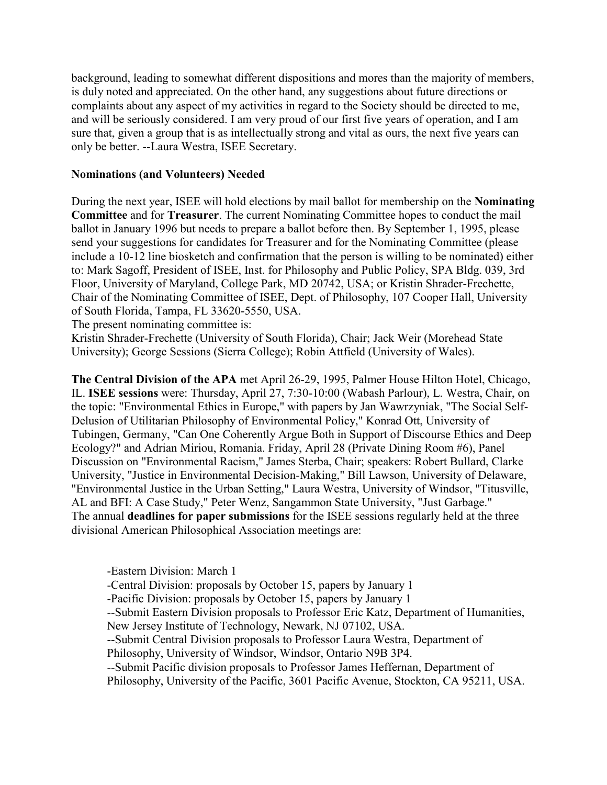background, leading to somewhat different dispositions and mores than the majority of members, is duly noted and appreciated. On the other hand, any suggestions about future directions or complaints about any aspect of my activities in regard to the Society should be directed to me, and will be seriously considered. I am very proud of our first five years of operation, and I am sure that, given a group that is as intellectually strong and vital as ours, the next five years can only be better. --Laura Westra, ISEE Secretary.

#### **Nominations (and Volunteers) Needed**

During the next year, ISEE will hold elections by mail ballot for membership on the **Nominating Committee** and for **Treasurer**. The current Nominating Committee hopes to conduct the mail ballot in January 1996 but needs to prepare a ballot before then. By September 1, 1995, please send your suggestions for candidates for Treasurer and for the Nominating Committee (please include a 10-12 line biosketch and confirmation that the person is willing to be nominated) either to: Mark Sagoff, President of ISEE, Inst. for Philosophy and Public Policy, SPA Bldg. 039, 3rd Floor, University of Maryland, College Park, MD 20742, USA; or Kristin Shrader-Frechette, Chair of the Nominating Committee of ISEE, Dept. of Philosophy, 107 Cooper Hall, University of South Florida, Tampa, FL 33620-5550, USA.

The present nominating committee is:

Kristin Shrader-Frechette (University of South Florida), Chair; Jack Weir (Morehead State University); George Sessions (Sierra College); Robin Attfield (University of Wales).

**The Central Division of the APA** met April 26-29, 1995, Palmer House Hilton Hotel, Chicago, IL. **ISEE sessions** were: Thursday, April 27, 7:30-10:00 (Wabash Parlour), L. Westra, Chair, on the topic: "Environmental Ethics in Europe," with papers by Jan Wawrzyniak, "The Social Self-Delusion of Utilitarian Philosophy of Environmental Policy," Konrad Ott, University of Tubingen, Germany, "Can One Coherently Argue Both in Support of Discourse Ethics and Deep Ecology?" and Adrian Miriou, Romania. Friday, April 28 (Private Dining Room #6), Panel Discussion on "Environmental Racism," James Sterba, Chair; speakers: Robert Bullard, Clarke University, "Justice in Environmental Decision-Making," Bill Lawson, University of Delaware, "Environmental Justice in the Urban Setting," Laura Westra, University of Windsor, "Titusville, AL and BFI: A Case Study," Peter Wenz, Sangammon State University, "Just Garbage." The annual **deadlines for paper submissions** for the ISEE sessions regularly held at the three divisional American Philosophical Association meetings are:

-Eastern Division: March 1

-Central Division: proposals by October 15, papers by January 1 -Pacific Division: proposals by October 15, papers by January 1 --Submit Eastern Division proposals to Professor Eric Katz, Department of Humanities, New Jersey Institute of Technology, Newark, NJ 07102, USA. --Submit Central Division proposals to Professor Laura Westra, Department of Philosophy, University of Windsor, Windsor, Ontario N9B 3P4. --Submit Pacific division proposals to Professor James Heffernan, Department of Philosophy, University of the Pacific, 3601 Pacific Avenue, Stockton, CA 95211, USA.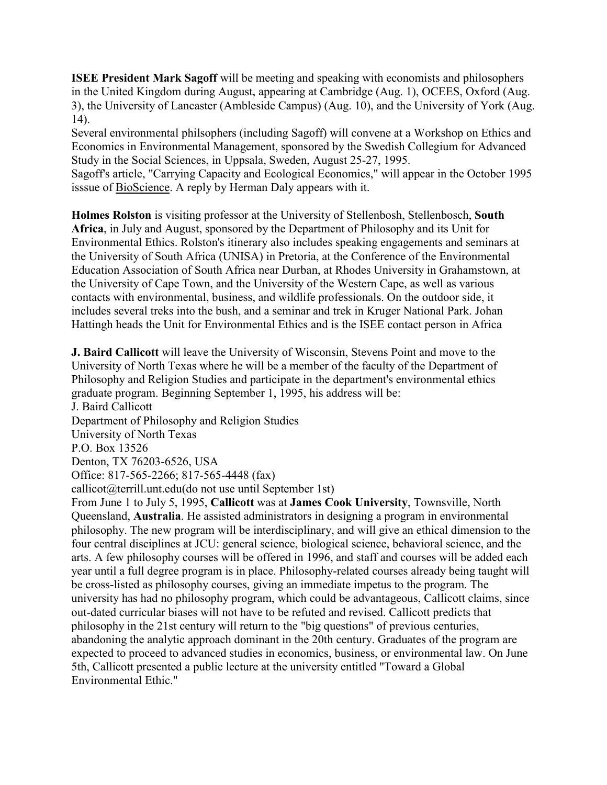**ISEE President Mark Sagoff** will be meeting and speaking with economists and philosophers in the United Kingdom during August, appearing at Cambridge (Aug. 1), OCEES, Oxford (Aug. 3), the University of Lancaster (Ambleside Campus) (Aug. 10), and the University of York (Aug. 14).

Several environmental philsophers (including Sagoff) will convene at a Workshop on Ethics and Economics in Environmental Management, sponsored by the Swedish Collegium for Advanced Study in the Social Sciences, in Uppsala, Sweden, August 25-27, 1995.

Sagoff's article, "Carrying Capacity and Ecological Economics," will appear in the October 1995 isssue of BioScience. A reply by Herman Daly appears with it.

**Holmes Rolston** is visiting professor at the University of Stellenbosh, Stellenbosch, **South Africa**, in July and August, sponsored by the Department of Philosophy and its Unit for Environmental Ethics. Rolston's itinerary also includes speaking engagements and seminars at the University of South Africa (UNISA) in Pretoria, at the Conference of the Environmental Education Association of South Africa near Durban, at Rhodes University in Grahamstown, at the University of Cape Town, and the University of the Western Cape, as well as various contacts with environmental, business, and wildlife professionals. On the outdoor side, it includes several treks into the bush, and a seminar and trek in Kruger National Park. Johan Hattingh heads the Unit for Environmental Ethics and is the ISEE contact person in Africa

**J. Baird Callicott** will leave the University of Wisconsin, Stevens Point and move to the University of North Texas where he will be a member of the faculty of the Department of Philosophy and Religion Studies and participate in the department's environmental ethics graduate program. Beginning September 1, 1995, his address will be: J. Baird Callicott Department of Philosophy and Religion Studies University of North Texas P.O. Box 13526 Denton, TX 76203-6526, USA Office: 817-565-2266; 817-565-4448 (fax) callicot@terrill.unt.edu(do not use until September 1st) From June 1 to July 5, 1995, **Callicott** was at **James Cook University**, Townsville, North Queensland, **Australia**. He assisted administrators in designing a program in environmental philosophy. The new program will be interdisciplinary, and will give an ethical dimension to the four central disciplines at JCU: general science, biological science, behavioral science, and the arts. A few philosophy courses will be offered in 1996, and staff and courses will be added each year until a full degree program is in place. Philosophy-related courses already being taught will be cross-listed as philosophy courses, giving an immediate impetus to the program. The university has had no philosophy program, which could be advantageous, Callicott claims, since out-dated curricular biases will not have to be refuted and revised. Callicott predicts that philosophy in the 21st century will return to the "big questions" of previous centuries, abandoning the analytic approach dominant in the 20th century. Graduates of the program are expected to proceed to advanced studies in economics, business, or environmental law. On June 5th, Callicott presented a public lecture at the university entitled "Toward a Global Environmental Ethic."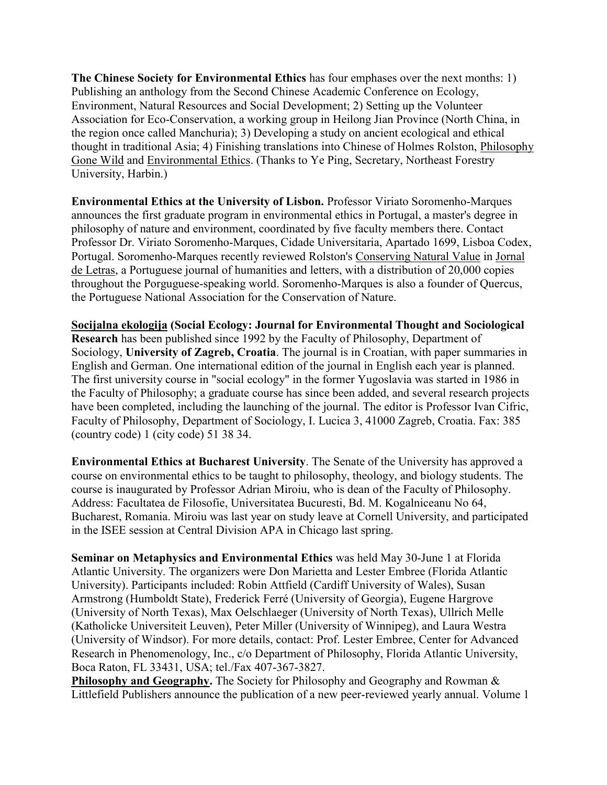**The Chinese Society for Environmental Ethics** has four emphases over the next months: 1) Publishing an anthology from the Second Chinese Academic Conference on Ecology, Environment, Natural Resources and Social Development; 2) Setting up the Volunteer Association for Eco-Conservation, a working group in Heilong Jian Province (North China, in the region once called Manchuria); 3) Developing a study on ancient ecological and ethical thought in traditional Asia; 4) Finishing translations into Chinese of Holmes Rolston, Philosophy Gone Wild and Environmental Ethics. (Thanks to Ye Ping, Secretary, Northeast Forestry University, Harbin.)

**Environmental Ethics at the University of Lisbon.** Professor Viriato Soromenho-Marques announces the first graduate program in environmental ethics in Portugal, a master's degree in philosophy of nature and environment, coordinated by five faculty members there. Contact Professor Dr. Viriato Soromenho-Marques, Cidade Universitaria, Apartado 1699, Lisboa Codex, Portugal. Soromenho-Marques recently reviewed Rolston's Conserving Natural Value in Jornal de Letras, a Portuguese journal of humanities and letters, with a distribution of 20,000 copies throughout the Porguguese-speaking world. Soromenho-Marques is also a founder of Quercus, the Portuguese National Association for the Conservation of Nature.

**Socijalna ekologija (Social Ecology: Journal for Environmental Thought and Sociological Research** has been published since 1992 by the Faculty of Philosophy, Department of Sociology, **University of Zagreb, Croatia**. The journal is in Croatian, with paper summaries in English and German. One international edition of the journal in English each year is planned. The first university course in "social ecology" in the former Yugoslavia was started in 1986 in the Faculty of Philosophy; a graduate course has since been added, and several research projects have been completed, including the launching of the journal. The editor is Professor Ivan Cifric, Faculty of Philosophy, Department of Sociology, I. Lucica 3, 41000 Zagreb, Croatia. Fax: 385 (country code) 1 (city code) 51 38 34.

**Environmental Ethics at Bucharest University**. The Senate of the University has approved a course on environmental ethics to be taught to philosophy, theology, and biology students. The course is inaugurated by Professor Adrian Miroiu, who is dean of the Faculty of Philosophy. Address: Facultatea de Filosofie, Universitatea Bucuresti, Bd. M. Kogalniceanu No 64, Bucharest, Romania. Miroiu was last year on study leave at Cornell University, and participated in the ISEE session at Central Division APA in Chicago last spring.

**Seminar on Metaphysics and Environmental Ethics** was held May 30-June 1 at Florida Atlantic University. The organizers were Don Marietta and Lester Embree (Florida Atlantic University). Participants included: Robin Attfield (Cardiff University of Wales), Susan Armstrong (Humboldt State), Frederick Ferré (University of Georgia), Eugene Hargrove (University of North Texas), Max Oelschlaeger (University of North Texas), Ullrich Melle (Katholicke Universiteit Leuven), Peter Miller (University of Winnipeg), and Laura Westra (University of Windsor). For more details, contact: Prof. Lester Embree, Center for Advanced Research in Phenomenology, Inc., c/o Department of Philosophy, Florida Atlantic University, Boca Raton, FL 33431, USA; tel./Fax 407-367-3827.

**Philosophy and Geography.** The Society for Philosophy and Geography and Rowman & Littlefield Publishers announce the publication of a new peer-reviewed yearly annual. Volume 1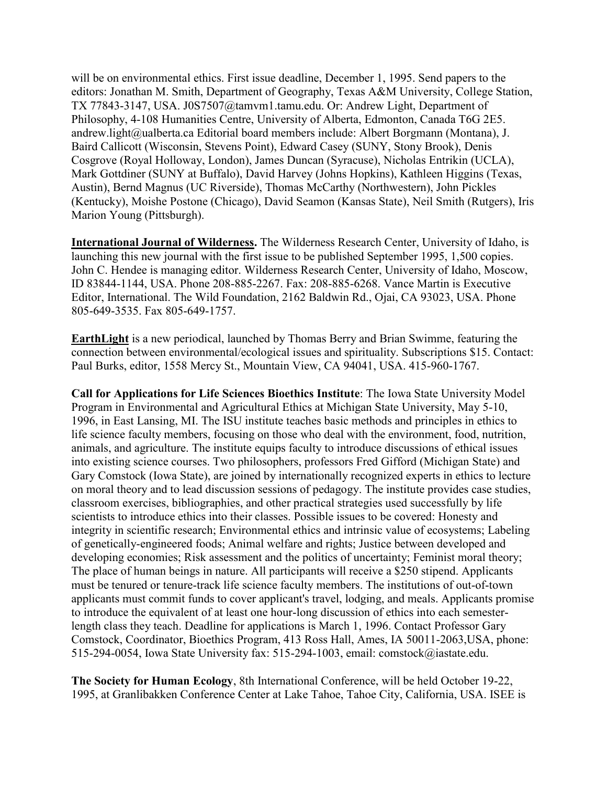will be on environmental ethics. First issue deadline, December 1, 1995. Send papers to the editors: Jonathan M. Smith, Department of Geography, Texas A&M University, College Station, TX 77843-3147, USA. J0S7507@tamvm1.tamu.edu. Or: Andrew Light, Department of Philosophy, 4-108 Humanities Centre, University of Alberta, Edmonton, Canada T6G 2E5. andrew.light@ualberta.ca Editorial board members include: Albert Borgmann (Montana), J. Baird Callicott (Wisconsin, Stevens Point), Edward Casey (SUNY, Stony Brook), Denis Cosgrove (Royal Holloway, London), James Duncan (Syracuse), Nicholas Entrikin (UCLA), Mark Gottdiner (SUNY at Buffalo), David Harvey (Johns Hopkins), Kathleen Higgins (Texas, Austin), Bernd Magnus (UC Riverside), Thomas McCarthy (Northwestern), John Pickles (Kentucky), Moishe Postone (Chicago), David Seamon (Kansas State), Neil Smith (Rutgers), Iris Marion Young (Pittsburgh).

**International Journal of Wilderness.** The Wilderness Research Center, University of Idaho, is launching this new journal with the first issue to be published September 1995, 1,500 copies. John C. Hendee is managing editor. Wilderness Research Center, University of Idaho, Moscow, ID 83844-1144, USA. Phone 208-885-2267. Fax: 208-885-6268. Vance Martin is Executive Editor, International. The Wild Foundation, 2162 Baldwin Rd., Ojai, CA 93023, USA. Phone 805-649-3535. Fax 805-649-1757.

**EarthLight** is a new periodical, launched by Thomas Berry and Brian Swimme, featuring the connection between environmental/ecological issues and spirituality. Subscriptions \$15. Contact: Paul Burks, editor, 1558 Mercy St., Mountain View, CA 94041, USA. 415-960-1767.

**Call for Applications for Life Sciences Bioethics Institute**: The Iowa State University Model Program in Environmental and Agricultural Ethics at Michigan State University, May 5-10, 1996, in East Lansing, MI. The ISU institute teaches basic methods and principles in ethics to life science faculty members, focusing on those who deal with the environment, food, nutrition, animals, and agriculture. The institute equips faculty to introduce discussions of ethical issues into existing science courses. Two philosophers, professors Fred Gifford (Michigan State) and Gary Comstock (Iowa State), are joined by internationally recognized experts in ethics to lecture on moral theory and to lead discussion sessions of pedagogy. The institute provides case studies, classroom exercises, bibliographies, and other practical strategies used successfully by life scientists to introduce ethics into their classes. Possible issues to be covered: Honesty and integrity in scientific research; Environmental ethics and intrinsic value of ecosystems; Labeling of genetically-engineered foods; Animal welfare and rights; Justice between developed and developing economies; Risk assessment and the politics of uncertainty; Feminist moral theory; The place of human beings in nature. All participants will receive a \$250 stipend. Applicants must be tenured or tenure-track life science faculty members. The institutions of out-of-town applicants must commit funds to cover applicant's travel, lodging, and meals. Applicants promise to introduce the equivalent of at least one hour-long discussion of ethics into each semesterlength class they teach. Deadline for applications is March 1, 1996. Contact Professor Gary Comstock, Coordinator, Bioethics Program, 413 Ross Hall, Ames, IA 50011-2063,USA, phone: 515-294-0054, Iowa State University fax: 515-294-1003, email: comstock@iastate.edu.

**The Society for Human Ecology**, 8th International Conference, will be held October 19-22, 1995, at Granlibakken Conference Center at Lake Tahoe, Tahoe City, California, USA. ISEE is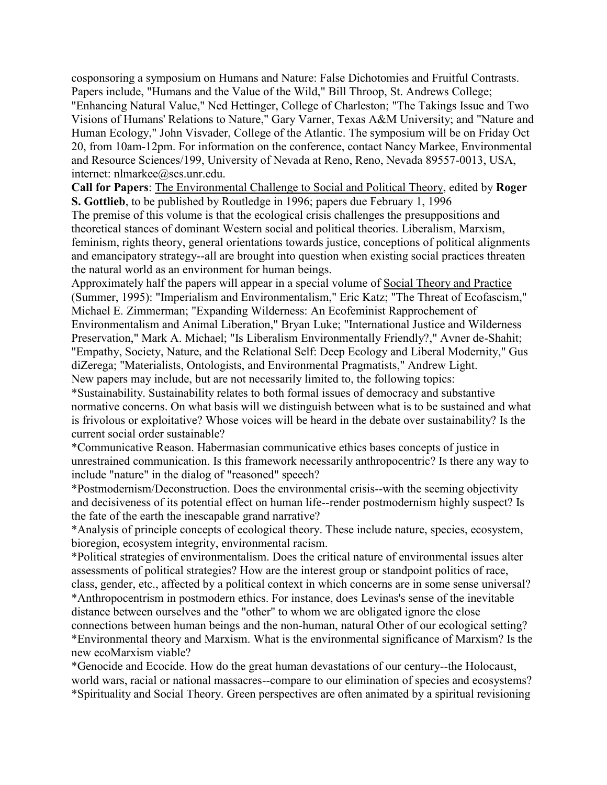cosponsoring a symposium on Humans and Nature: False Dichotomies and Fruitful Contrasts. Papers include, "Humans and the Value of the Wild," Bill Throop, St. Andrews College; "Enhancing Natural Value," Ned Hettinger, College of Charleston; "The Takings Issue and Two Visions of Humans' Relations to Nature," Gary Varner, Texas A&M University; and "Nature and Human Ecology," John Visvader, College of the Atlantic. The symposium will be on Friday Oct 20, from 10am-12pm. For information on the conference, contact Nancy Markee, Environmental and Resource Sciences/199, University of Nevada at Reno, Reno, Nevada 89557-0013, USA, internet: nlmarkee@scs.unr.edu.

**Call for Papers**: The Environmental Challenge to Social and Political Theory, edited by **Roger S. Gottlieb**, to be published by Routledge in 1996; papers due February 1, 1996

The premise of this volume is that the ecological crisis challenges the presuppositions and theoretical stances of dominant Western social and political theories. Liberalism, Marxism, feminism, rights theory, general orientations towards justice, conceptions of political alignments and emancipatory strategy--all are brought into question when existing social practices threaten the natural world as an environment for human beings.

Approximately half the papers will appear in a special volume of Social Theory and Practice (Summer, 1995): "Imperialism and Environmentalism," Eric Katz; "The Threat of Ecofascism," Michael E. Zimmerman; "Expanding Wilderness: An Ecofeminist Rapprochement of Environmentalism and Animal Liberation," Bryan Luke; "International Justice and Wilderness Preservation," Mark A. Michael; "Is Liberalism Environmentally Friendly?," Avner de-Shahit; "Empathy, Society, Nature, and the Relational Self: Deep Ecology and Liberal Modernity," Gus diZerega; "Materialists, Ontologists, and Environmental Pragmatists," Andrew Light. New papers may include, but are not necessarily limited to, the following topics:

\*Sustainability. Sustainability relates to both formal issues of democracy and substantive normative concerns. On what basis will we distinguish between what is to be sustained and what is frivolous or exploitative? Whose voices will be heard in the debate over sustainability? Is the current social order sustainable?

\*Communicative Reason. Habermasian communicative ethics bases concepts of justice in unrestrained communication. Is this framework necessarily anthropocentric? Is there any way to include "nature" in the dialog of "reasoned" speech?

\*Postmodernism/Deconstruction. Does the environmental crisis--with the seeming objectivity and decisiveness of its potential effect on human life--render postmodernism highly suspect? Is the fate of the earth the inescapable grand narrative?

\*Analysis of principle concepts of ecological theory. These include nature, species, ecosystem, bioregion, ecosystem integrity, environmental racism.

\*Political strategies of environmentalism. Does the critical nature of environmental issues alter assessments of political strategies? How are the interest group or standpoint politics of race, class, gender, etc., affected by a political context in which concerns are in some sense universal? \*Anthropocentrism in postmodern ethics. For instance, does Levinas's sense of the inevitable distance between ourselves and the "other" to whom we are obligated ignore the close connections between human beings and the non-human, natural Other of our ecological setting? \*Environmental theory and Marxism. What is the environmental significance of Marxism? Is the new ecoMarxism viable?

\*Genocide and Ecocide. How do the great human devastations of our century--the Holocaust, world wars, racial or national massacres--compare to our elimination of species and ecosystems? \*Spirituality and Social Theory. Green perspectives are often animated by a spiritual revisioning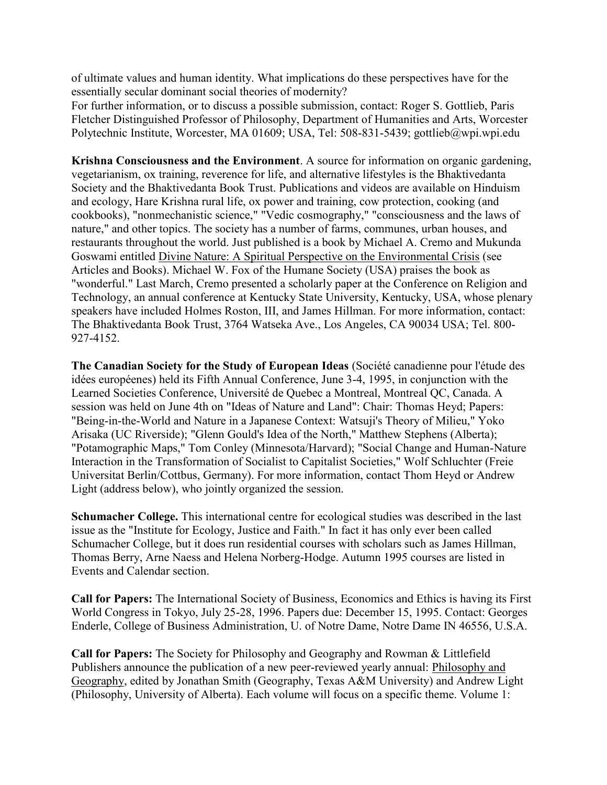of ultimate values and human identity. What implications do these perspectives have for the essentially secular dominant social theories of modernity?

For further information, or to discuss a possible submission, contact: Roger S. Gottlieb, Paris Fletcher Distinguished Professor of Philosophy, Department of Humanities and Arts, Worcester Polytechnic Institute, Worcester, MA 01609; USA, Tel: 508-831-5439; gottlieb@wpi.wpi.edu

**Krishna Consciousness and the Environment**. A source for information on organic gardening, vegetarianism, ox training, reverence for life, and alternative lifestyles is the Bhaktivedanta Society and the Bhaktivedanta Book Trust. Publications and videos are available on Hinduism and ecology, Hare Krishna rural life, ox power and training, cow protection, cooking (and cookbooks), "nonmechanistic science," "Vedic cosmography," "consciousness and the laws of nature," and other topics. The society has a number of farms, communes, urban houses, and restaurants throughout the world. Just published is a book by Michael A. Cremo and Mukunda Goswami entitled Divine Nature: A Spiritual Perspective on the Environmental Crisis (see Articles and Books). Michael W. Fox of the Humane Society (USA) praises the book as "wonderful." Last March, Cremo presented a scholarly paper at the Conference on Religion and Technology, an annual conference at Kentucky State University, Kentucky, USA, whose plenary speakers have included Holmes Roston, III, and James Hillman. For more information, contact: The Bhaktivedanta Book Trust, 3764 Watseka Ave., Los Angeles, CA 90034 USA; Tel. 800- 927-4152.

**The Canadian Society for the Study of European Ideas** (Société canadienne pour l'étude des idées européenes) held its Fifth Annual Conference, June 3-4, 1995, in conjunction with the Learned Societies Conference, Université de Quebec a Montreal, Montreal QC, Canada. A session was held on June 4th on "Ideas of Nature and Land": Chair: Thomas Heyd; Papers: "Being-in-the-World and Nature in a Japanese Context: Watsuji's Theory of Milieu," Yoko Arisaka (UC Riverside); "Glenn Gould's Idea of the North," Matthew Stephens (Alberta); "Potamographic Maps," Tom Conley (Minnesota/Harvard); "Social Change and Human-Nature Interaction in the Transformation of Socialist to Capitalist Societies," Wolf Schluchter (Freie Universitat Berlin/Cottbus, Germany). For more information, contact Thom Heyd or Andrew Light (address below), who jointly organized the session.

**Schumacher College.** This international centre for ecological studies was described in the last issue as the "Institute for Ecology, Justice and Faith." In fact it has only ever been called Schumacher College, but it does run residential courses with scholars such as James Hillman, Thomas Berry, Arne Naess and Helena Norberg-Hodge. Autumn 1995 courses are listed in Events and Calendar section.

**Call for Papers:** The International Society of Business, Economics and Ethics is having its First World Congress in Tokyo, July 25-28, 1996. Papers due: December 15, 1995. Contact: Georges Enderle, College of Business Administration, U. of Notre Dame, Notre Dame IN 46556, U.S.A.

**Call for Papers:** The Society for Philosophy and Geography and Rowman & Littlefield Publishers announce the publication of a new peer-reviewed yearly annual: Philosophy and Geography, edited by Jonathan Smith (Geography, Texas A&M University) and Andrew Light (Philosophy, University of Alberta). Each volume will focus on a specific theme. Volume 1: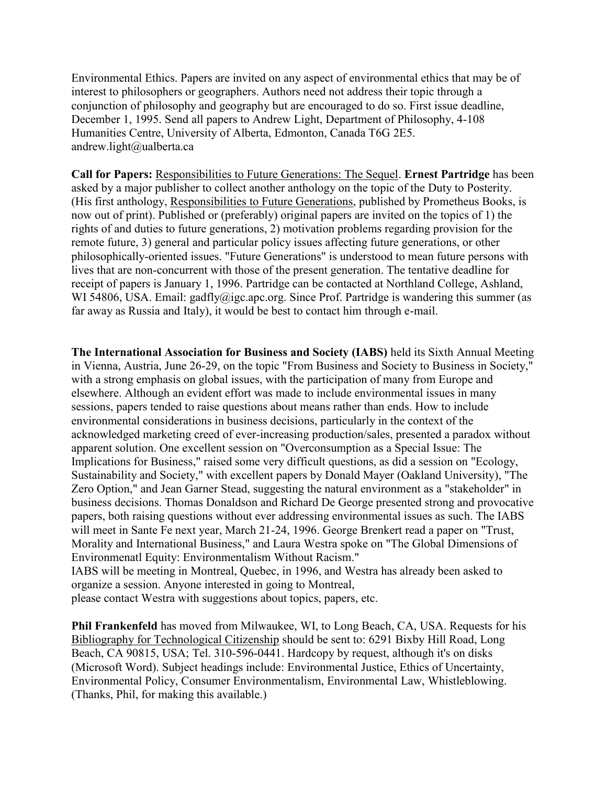Environmental Ethics. Papers are invited on any aspect of environmental ethics that may be of interest to philosophers or geographers. Authors need not address their topic through a conjunction of philosophy and geography but are encouraged to do so. First issue deadline, December 1, 1995. Send all papers to Andrew Light, Department of Philosophy, 4-108 Humanities Centre, University of Alberta, Edmonton, Canada T6G 2E5. andrew.light@ualberta.ca

**Call for Papers:** Responsibilities to Future Generations: The Sequel. **Ernest Partridge** has been asked by a major publisher to collect another anthology on the topic of the Duty to Posterity. (His first anthology, Responsibilities to Future Generations, published by Prometheus Books, is now out of print). Published or (preferably) original papers are invited on the topics of 1) the rights of and duties to future generations, 2) motivation problems regarding provision for the remote future, 3) general and particular policy issues affecting future generations, or other philosophically-oriented issues. "Future Generations" is understood to mean future persons with lives that are non-concurrent with those of the present generation. The tentative deadline for receipt of papers is January 1, 1996. Partridge can be contacted at Northland College, Ashland, WI 54806, USA. Email: gadfly@igc.apc.org. Since Prof. Partridge is wandering this summer (as far away as Russia and Italy), it would be best to contact him through e-mail.

**The International Association for Business and Society (IABS)** held its Sixth Annual Meeting in Vienna, Austria, June 26-29, on the topic "From Business and Society to Business in Society," with a strong emphasis on global issues, with the participation of many from Europe and elsewhere. Although an evident effort was made to include environmental issues in many sessions, papers tended to raise questions about means rather than ends. How to include environmental considerations in business decisions, particularly in the context of the acknowledged marketing creed of ever-increasing production/sales, presented a paradox without apparent solution. One excellent session on "Overconsumption as a Special Issue: The Implications for Business," raised some very difficult questions, as did a session on "Ecology, Sustainability and Society," with excellent papers by Donald Mayer (Oakland University), "The Zero Option," and Jean Garner Stead, suggesting the natural environment as a "stakeholder" in business decisions. Thomas Donaldson and Richard De George presented strong and provocative papers, both raising questions without ever addressing environmental issues as such. The IABS will meet in Sante Fe next year, March 21-24, 1996. George Brenkert read a paper on "Trust, Morality and International Business," and Laura Westra spoke on "The Global Dimensions of Environmenatl Equity: Environmentalism Without Racism." IABS will be meeting in Montreal, Quebec, in 1996, and Westra has already been asked to organize a session. Anyone interested in going to Montreal,

please contact Westra with suggestions about topics, papers, etc.

**Phil Frankenfeld** has moved from Milwaukee, WI, to Long Beach, CA, USA. Requests for his Bibliography for Technological Citizenship should be sent to: 6291 Bixby Hill Road, Long Beach, CA 90815, USA; Tel. 310-596-0441. Hardcopy by request, although it's on disks (Microsoft Word). Subject headings include: Environmental Justice, Ethics of Uncertainty, Environmental Policy, Consumer Environmentalism, Environmental Law, Whistleblowing. (Thanks, Phil, for making this available.)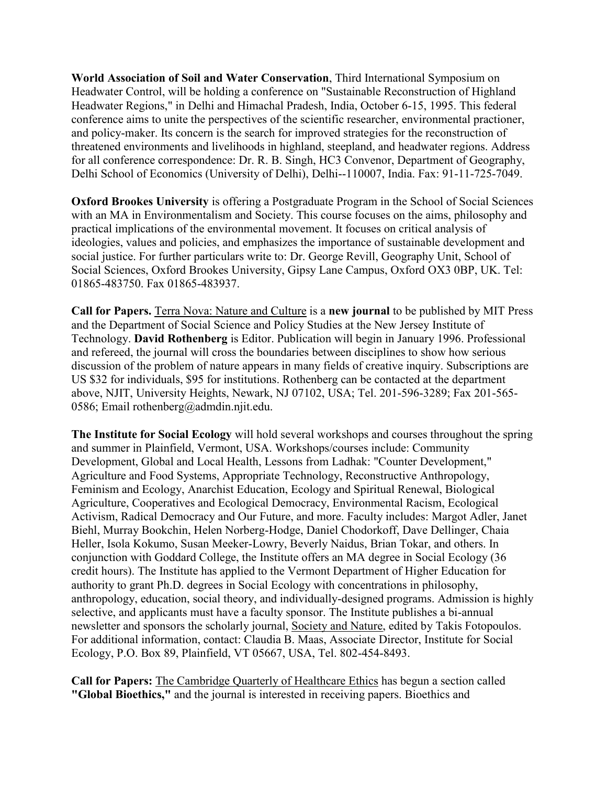**World Association of Soil and Water Conservation**, Third International Symposium on Headwater Control, will be holding a conference on "Sustainable Reconstruction of Highland Headwater Regions," in Delhi and Himachal Pradesh, India, October 6-15, 1995. This federal conference aims to unite the perspectives of the scientific researcher, environmental practioner, and policy-maker. Its concern is the search for improved strategies for the reconstruction of threatened environments and livelihoods in highland, steepland, and headwater regions. Address for all conference correspondence: Dr. R. B. Singh, HC3 Convenor, Department of Geography, Delhi School of Economics (University of Delhi), Delhi--110007, India. Fax: 91-11-725-7049.

**Oxford Brookes University** is offering a Postgraduate Program in the School of Social Sciences with an MA in Environmentalism and Society. This course focuses on the aims, philosophy and practical implications of the environmental movement. It focuses on critical analysis of ideologies, values and policies, and emphasizes the importance of sustainable development and social justice. For further particulars write to: Dr. George Revill, Geography Unit, School of Social Sciences, Oxford Brookes University, Gipsy Lane Campus, Oxford OX3 0BP, UK. Tel: 01865-483750. Fax 01865-483937.

**Call for Papers.** Terra Nova: Nature and Culture is a **new journal** to be published by MIT Press and the Department of Social Science and Policy Studies at the New Jersey Institute of Technology. **David Rothenberg** is Editor. Publication will begin in January 1996. Professional and refereed, the journal will cross the boundaries between disciplines to show how serious discussion of the problem of nature appears in many fields of creative inquiry. Subscriptions are US \$32 for individuals, \$95 for institutions. Rothenberg can be contacted at the department above, NJIT, University Heights, Newark, NJ 07102, USA; Tel. 201-596-3289; Fax 201-565- 0586; Email rothenberg@admdin.njit.edu.

**The Institute for Social Ecology** will hold several workshops and courses throughout the spring and summer in Plainfield, Vermont, USA. Workshops/courses include: Community Development, Global and Local Health, Lessons from Ladhak: "Counter Development," Agriculture and Food Systems, Appropriate Technology, Reconstructive Anthropology, Feminism and Ecology, Anarchist Education, Ecology and Spiritual Renewal, Biological Agriculture, Cooperatives and Ecological Democracy, Environmental Racism, Ecological Activism, Radical Democracy and Our Future, and more. Faculty includes: Margot Adler, Janet Biehl, Murray Bookchin, Helen Norberg-Hodge, Daniel Chodorkoff, Dave Dellinger, Chaia Heller, Isola Kokumo, Susan Meeker-Lowry, Beverly Naidus, Brian Tokar, and others. In conjunction with Goddard College, the Institute offers an MA degree in Social Ecology (36 credit hours). The Institute has applied to the Vermont Department of Higher Education for authority to grant Ph.D. degrees in Social Ecology with concentrations in philosophy, anthropology, education, social theory, and individually-designed programs. Admission is highly selective, and applicants must have a faculty sponsor. The Institute publishes a bi-annual newsletter and sponsors the scholarly journal, Society and Nature, edited by Takis Fotopoulos. For additional information, contact: Claudia B. Maas, Associate Director, Institute for Social Ecology, P.O. Box 89, Plainfield, VT 05667, USA, Tel. 802-454-8493.

**Call for Papers:** The Cambridge Quarterly of Healthcare Ethics has begun a section called **"Global Bioethics,"** and the journal is interested in receiving papers. Bioethics and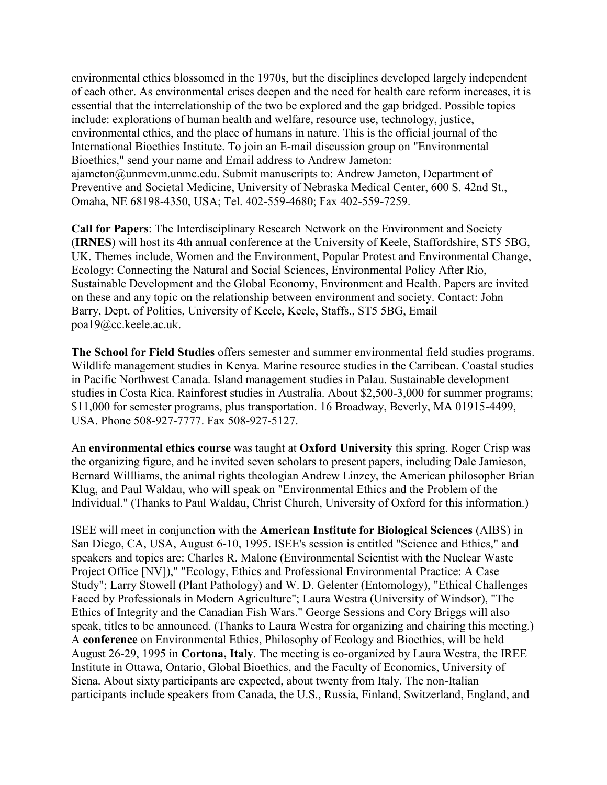environmental ethics blossomed in the 1970s, but the disciplines developed largely independent of each other. As environmental crises deepen and the need for health care reform increases, it is essential that the interrelationship of the two be explored and the gap bridged. Possible topics include: explorations of human health and welfare, resource use, technology, justice, environmental ethics, and the place of humans in nature. This is the official journal of the International Bioethics Institute. To join an E-mail discussion group on "Environmental Bioethics," send your name and Email address to Andrew Jameton: ajameton@unmcvm.unmc.edu. Submit manuscripts to: Andrew Jameton, Department of Preventive and Societal Medicine, University of Nebraska Medical Center, 600 S. 42nd St., Omaha, NE 68198-4350, USA; Tel. 402-559-4680; Fax 402-559-7259.

**Call for Papers**: The Interdisciplinary Research Network on the Environment and Society (**IRNES**) will host its 4th annual conference at the University of Keele, Staffordshire, ST5 5BG, UK. Themes include, Women and the Environment, Popular Protest and Environmental Change, Ecology: Connecting the Natural and Social Sciences, Environmental Policy After Rio, Sustainable Development and the Global Economy, Environment and Health. Papers are invited on these and any topic on the relationship between environment and society. Contact: John Barry, Dept. of Politics, University of Keele, Keele, Staffs., ST5 5BG, Email poa19@cc.keele.ac.uk.

**The School for Field Studies** offers semester and summer environmental field studies programs. Wildlife management studies in Kenya. Marine resource studies in the Carribean. Coastal studies in Pacific Northwest Canada. Island management studies in Palau. Sustainable development studies in Costa Rica. Rainforest studies in Australia. About \$2,500-3,000 for summer programs; \$11,000 for semester programs, plus transportation. 16 Broadway, Beverly, MA 01915-4499, USA. Phone 508-927-7777. Fax 508-927-5127.

An **environmental ethics course** was taught at **Oxford University** this spring. Roger Crisp was the organizing figure, and he invited seven scholars to present papers, including Dale Jamieson, Bernard Willliams, the animal rights theologian Andrew Linzey, the American philosopher Brian Klug, and Paul Waldau, who will speak on "Environmental Ethics and the Problem of the Individual." (Thanks to Paul Waldau, Christ Church, University of Oxford for this information.)

ISEE will meet in conjunction with the **American Institute for Biological Sciences** (AIBS) in San Diego, CA, USA, August 6-10, 1995. ISEE's session is entitled "Science and Ethics," and speakers and topics are: Charles R. Malone (Environmental Scientist with the Nuclear Waste Project Office [NV])," "Ecology, Ethics and Professional Environmental Practice: A Case Study"; Larry Stowell (Plant Pathology) and W. D. Gelenter (Entomology), "Ethical Challenges Faced by Professionals in Modern Agriculture"; Laura Westra (University of Windsor), "The Ethics of Integrity and the Canadian Fish Wars." George Sessions and Cory Briggs will also speak, titles to be announced. (Thanks to Laura Westra for organizing and chairing this meeting.) A **conference** on Environmental Ethics, Philosophy of Ecology and Bioethics, will be held August 26-29, 1995 in **Cortona, Italy**. The meeting is co-organized by Laura Westra, the IREE Institute in Ottawa, Ontario, Global Bioethics, and the Faculty of Economics, University of Siena. About sixty participants are expected, about twenty from Italy. The non-Italian participants include speakers from Canada, the U.S., Russia, Finland, Switzerland, England, and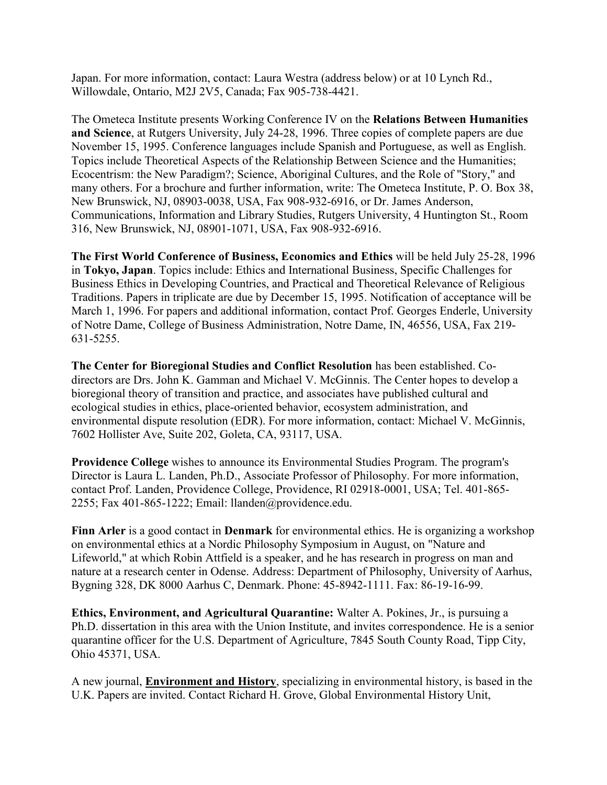Japan. For more information, contact: Laura Westra (address below) or at 10 Lynch Rd., Willowdale, Ontario, M2J 2V5, Canada; Fax 905-738-4421.

The Ometeca Institute presents Working Conference IV on the **Relations Between Humanities and Science**, at Rutgers University, July 24-28, 1996. Three copies of complete papers are due November 15, 1995. Conference languages include Spanish and Portuguese, as well as English. Topics include Theoretical Aspects of the Relationship Between Science and the Humanities; Ecocentrism: the New Paradigm?; Science, Aboriginal Cultures, and the Role of "Story," and many others. For a brochure and further information, write: The Ometeca Institute, P. O. Box 38, New Brunswick, NJ, 08903-0038, USA, Fax 908-932-6916, or Dr. James Anderson, Communications, Information and Library Studies, Rutgers University, 4 Huntington St., Room 316, New Brunswick, NJ, 08901-1071, USA, Fax 908-932-6916.

**The First World Conference of Business, Economics and Ethics** will be held July 25-28, 1996 in **Tokyo, Japan**. Topics include: Ethics and International Business, Specific Challenges for Business Ethics in Developing Countries, and Practical and Theoretical Relevance of Religious Traditions. Papers in triplicate are due by December 15, 1995. Notification of acceptance will be March 1, 1996. For papers and additional information, contact Prof. Georges Enderle, University of Notre Dame, College of Business Administration, Notre Dame, IN, 46556, USA, Fax 219- 631-5255.

**The Center for Bioregional Studies and Conflict Resolution** has been established. Codirectors are Drs. John K. Gamman and Michael V. McGinnis. The Center hopes to develop a bioregional theory of transition and practice, and associates have published cultural and ecological studies in ethics, place-oriented behavior, ecosystem administration, and environmental dispute resolution (EDR). For more information, contact: Michael V. McGinnis, 7602 Hollister Ave, Suite 202, Goleta, CA, 93117, USA.

**Providence College** wishes to announce its Environmental Studies Program. The program's Director is Laura L. Landen, Ph.D., Associate Professor of Philosophy. For more information, contact Prof. Landen, Providence College, Providence, RI 02918-0001, USA; Tel. 401-865- 2255; Fax 401-865-1222; Email: llanden@providence.edu.

**Finn Arler** is a good contact in **Denmark** for environmental ethics. He is organizing a workshop on environmental ethics at a Nordic Philosophy Symposium in August, on "Nature and Lifeworld," at which Robin Attfield is a speaker, and he has research in progress on man and nature at a research center in Odense. Address: Department of Philosophy, University of Aarhus, Bygning 328, DK 8000 Aarhus C, Denmark. Phone: 45-8942-1111. Fax: 86-19-16-99.

**Ethics, Environment, and Agricultural Quarantine:** Walter A. Pokines, Jr., is pursuing a Ph.D. dissertation in this area with the Union Institute, and invites correspondence. He is a senior quarantine officer for the U.S. Department of Agriculture, 7845 South County Road, Tipp City, Ohio 45371, USA.

A new journal, **Environment and History**, specializing in environmental history, is based in the U.K. Papers are invited. Contact Richard H. Grove, Global Environmental History Unit,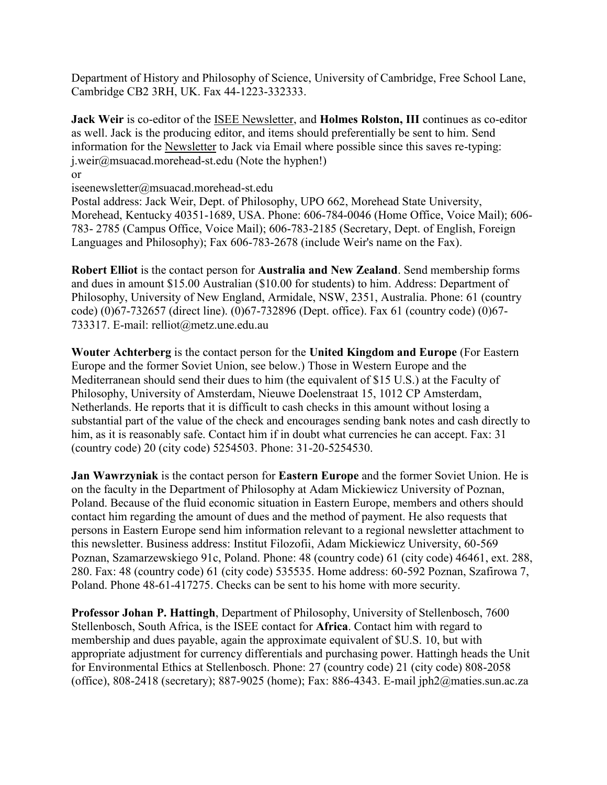Department of History and Philosophy of Science, University of Cambridge, Free School Lane, Cambridge CB2 3RH, UK. Fax 44-1223-332333.

**Jack Weir** is co-editor of the ISEE Newsletter, and **Holmes Rolston, III** continues as co-editor as well. Jack is the producing editor, and items should preferentially be sent to him. Send information for the Newsletter to Jack via Email where possible since this saves re-typing: j.weir@msuacad.morehead-st.edu (Note the hyphen!)

or

iseenewsletter@msuacad.morehead-st.edu

Postal address: Jack Weir, Dept. of Philosophy, UPO 662, Morehead State University, Morehead, Kentucky 40351-1689, USA. Phone: 606-784-0046 (Home Office, Voice Mail); 606- 783- 2785 (Campus Office, Voice Mail); 606-783-2185 (Secretary, Dept. of English, Foreign Languages and Philosophy); Fax 606-783-2678 (include Weir's name on the Fax).

**Robert Elliot** is the contact person for **Australia and New Zealand**. Send membership forms and dues in amount \$15.00 Australian (\$10.00 for students) to him. Address: Department of Philosophy, University of New England, Armidale, NSW, 2351, Australia. Phone: 61 (country code) (0)67-732657 (direct line). (0)67-732896 (Dept. office). Fax 61 (country code) (0)67- 733317. E-mail: relliot@metz.une.edu.au

**Wouter Achterberg** is the contact person for the **United Kingdom and Europe** (For Eastern Europe and the former Soviet Union, see below.) Those in Western Europe and the Mediterranean should send their dues to him (the equivalent of \$15 U.S.) at the Faculty of Philosophy, University of Amsterdam, Nieuwe Doelenstraat 15, 1012 CP Amsterdam, Netherlands. He reports that it is difficult to cash checks in this amount without losing a substantial part of the value of the check and encourages sending bank notes and cash directly to him, as it is reasonably safe. Contact him if in doubt what currencies he can accept. Fax: 31 (country code) 20 (city code) 5254503. Phone: 31-20-5254530.

**Jan Wawrzyniak** is the contact person for **Eastern Europe** and the former Soviet Union. He is on the faculty in the Department of Philosophy at Adam Mickiewicz University of Poznan, Poland. Because of the fluid economic situation in Eastern Europe, members and others should contact him regarding the amount of dues and the method of payment. He also requests that persons in Eastern Europe send him information relevant to a regional newsletter attachment to this newsletter. Business address: Institut Filozofii, Adam Mickiewicz University, 60-569 Poznan, Szamarzewskiego 91c, Poland. Phone: 48 (country code) 61 (city code) 46461, ext. 288, 280. Fax: 48 (country code) 61 (city code) 535535. Home address: 60-592 Poznan, Szafirowa 7, Poland. Phone 48-61-417275. Checks can be sent to his home with more security.

**Professor Johan P. Hattingh**, Department of Philosophy, University of Stellenbosch, 7600 Stellenbosch, South Africa, is the ISEE contact for **Africa**. Contact him with regard to membership and dues payable, again the approximate equivalent of \$U.S. 10, but with appropriate adjustment for currency differentials and purchasing power. Hattingh heads the Unit for Environmental Ethics at Stellenbosch. Phone: 27 (country code) 21 (city code) 808-2058 (office), 808-2418 (secretary); 887-9025 (home); Fax: 886-4343. E-mail jph2@maties.sun.ac.za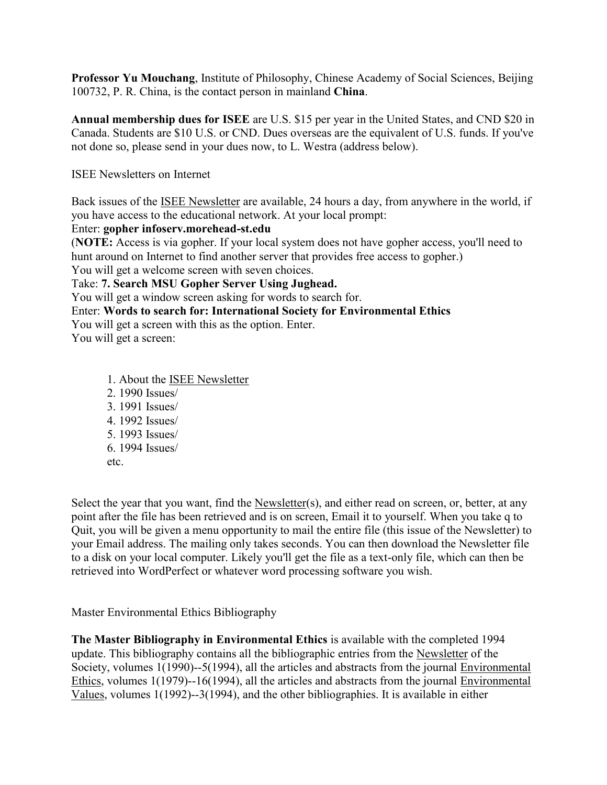**Professor Yu Mouchang**, Institute of Philosophy, Chinese Academy of Social Sciences, Beijing 100732, P. R. China, is the contact person in mainland **China**.

**Annual membership dues for ISEE** are U.S. \$15 per year in the United States, and CND \$20 in Canada. Students are \$10 U.S. or CND. Dues overseas are the equivalent of U.S. funds. If you've not done so, please send in your dues now, to L. Westra (address below).

ISEE Newsletters on Internet

Back issues of the ISEE Newsletter are available, 24 hours a day, from anywhere in the world, if you have access to the educational network. At your local prompt:

#### Enter: **gopher infoserv.morehead-st.edu**

(**NOTE:** Access is via gopher. If your local system does not have gopher access, you'll need to hunt around on Internet to find another server that provides free access to gopher.) You will get a welcome screen with seven choices.

Take: **7. Search MSU Gopher Server Using Jughead.**

You will get a window screen asking for words to search for.

#### Enter: **Words to search for: International Society for Environmental Ethics**

You will get a screen with this as the option. Enter.

You will get a screen:

- 1. About the ISEE Newsletter
- 2. 1990 Issues/ 3. 1991 Issues/ 4. 1992 Issues/
- 5. 1993 Issues/
- 6. 1994 Issues/
- etc.

Select the year that you want, find the Newsletter(s), and either read on screen, or, better, at any point after the file has been retrieved and is on screen, Email it to yourself. When you take q to Quit, you will be given a menu opportunity to mail the entire file (this issue of the Newsletter) to your Email address. The mailing only takes seconds. You can then download the Newsletter file to a disk on your local computer. Likely you'll get the file as a text-only file, which can then be retrieved into WordPerfect or whatever word processing software you wish.

Master Environmental Ethics Bibliography

**The Master Bibliography in Environmental Ethics** is available with the completed 1994 update. This bibliography contains all the bibliographic entries from the Newsletter of the Society, volumes 1(1990)--5(1994), all the articles and abstracts from the journal Environmental Ethics, volumes  $1(1979)$ --16(1994), all the articles and abstracts from the journal Environmental Values, volumes 1(1992)--3(1994), and the other bibliographies. It is available in either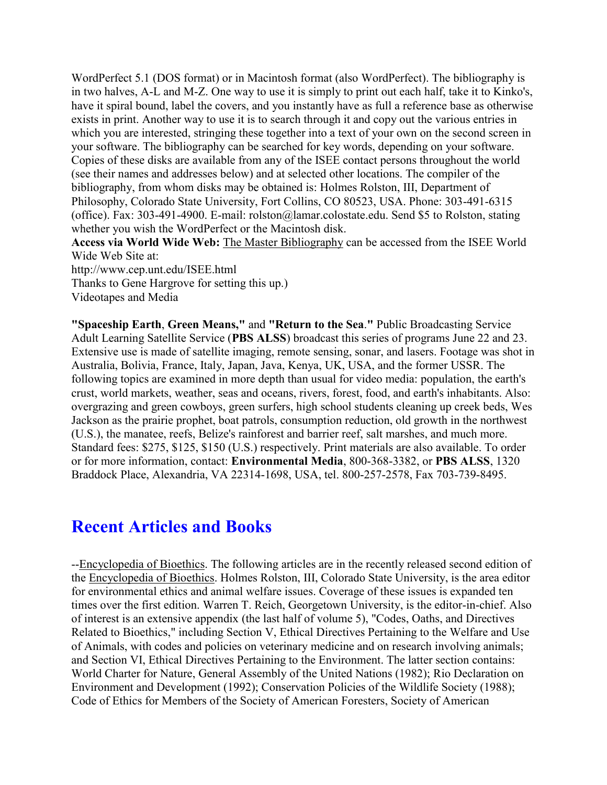WordPerfect 5.1 (DOS format) or in Macintosh format (also WordPerfect). The bibliography is in two halves, A-L and M-Z. One way to use it is simply to print out each half, take it to Kinko's, have it spiral bound, label the covers, and you instantly have as full a reference base as otherwise exists in print. Another way to use it is to search through it and copy out the various entries in which you are interested, stringing these together into a text of your own on the second screen in your software. The bibliography can be searched for key words, depending on your software. Copies of these disks are available from any of the ISEE contact persons throughout the world (see their names and addresses below) and at selected other locations. The compiler of the bibliography, from whom disks may be obtained is: Holmes Rolston, III, Department of Philosophy, Colorado State University, Fort Collins, CO 80523, USA. Phone: 303-491-6315 (office). Fax: 303-491-4900. E-mail: rolston@lamar.colostate.edu. Send \$5 to Rolston, stating whether you wish the WordPerfect or the Macintosh disk.

**Access via World Wide Web:** The Master Bibliography can be accessed from the ISEE World Wide Web Site at:

http://www.cep.unt.edu/ISEE.html

Thanks to Gene Hargrove for setting this up.)

Videotapes and Media

**"Spaceship Earth**, **Green Means,"** and **"Return to the Sea**.**"** Public Broadcasting Service Adult Learning Satellite Service (**PBS ALSS**) broadcast this series of programs June 22 and 23. Extensive use is made of satellite imaging, remote sensing, sonar, and lasers. Footage was shot in Australia, Bolivia, France, Italy, Japan, Java, Kenya, UK, USA, and the former USSR. The following topics are examined in more depth than usual for video media: population, the earth's crust, world markets, weather, seas and oceans, rivers, forest, food, and earth's inhabitants. Also: overgrazing and green cowboys, green surfers, high school students cleaning up creek beds, Wes Jackson as the prairie prophet, boat patrols, consumption reduction, old growth in the northwest (U.S.), the manatee, reefs, Belize's rainforest and barrier reef, salt marshes, and much more. Standard fees: \$275, \$125, \$150 (U.S.) respectively. Print materials are also available. To order or for more information, contact: **Environmental Media**, 800-368-3382, or **PBS ALSS**, 1320 Braddock Place, Alexandria, VA 22314-1698, USA, tel. 800-257-2578, Fax 703-739-8495.

# **Recent Articles and Books**

--Encyclopedia of Bioethics. The following articles are in the recently released second edition of the Encyclopedia of Bioethics. Holmes Rolston, III, Colorado State University, is the area editor for environmental ethics and animal welfare issues. Coverage of these issues is expanded ten times over the first edition. Warren T. Reich, Georgetown University, is the editor-in-chief. Also of interest is an extensive appendix (the last half of volume 5), "Codes, Oaths, and Directives Related to Bioethics," including Section V, Ethical Directives Pertaining to the Welfare and Use of Animals, with codes and policies on veterinary medicine and on research involving animals; and Section VI, Ethical Directives Pertaining to the Environment. The latter section contains: World Charter for Nature, General Assembly of the United Nations (1982); Rio Declaration on Environment and Development (1992); Conservation Policies of the Wildlife Society (1988); Code of Ethics for Members of the Society of American Foresters, Society of American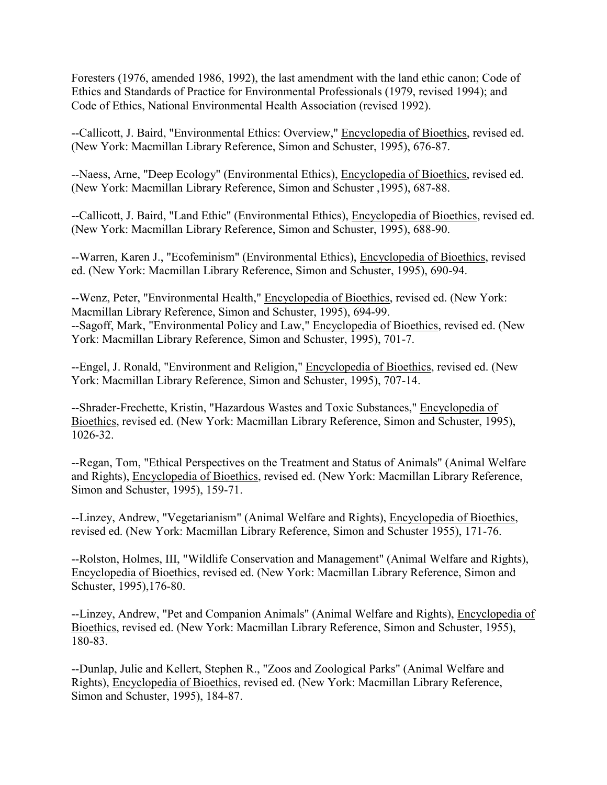Foresters (1976, amended 1986, 1992), the last amendment with the land ethic canon; Code of Ethics and Standards of Practice for Environmental Professionals (1979, revised 1994); and Code of Ethics, National Environmental Health Association (revised 1992).

--Callicott, J. Baird, "Environmental Ethics: Overview," Encyclopedia of Bioethics, revised ed. (New York: Macmillan Library Reference, Simon and Schuster, 1995), 676-87.

--Naess, Arne, "Deep Ecology" (Environmental Ethics), Encyclopedia of Bioethics, revised ed. (New York: Macmillan Library Reference, Simon and Schuster ,1995), 687-88.

--Callicott, J. Baird, "Land Ethic" (Environmental Ethics), Encyclopedia of Bioethics, revised ed. (New York: Macmillan Library Reference, Simon and Schuster, 1995), 688-90.

--Warren, Karen J., "Ecofeminism" (Environmental Ethics), Encyclopedia of Bioethics, revised ed. (New York: Macmillan Library Reference, Simon and Schuster, 1995), 690-94.

--Wenz, Peter, "Environmental Health," Encyclopedia of Bioethics, revised ed. (New York: Macmillan Library Reference, Simon and Schuster, 1995), 694-99. --Sagoff, Mark, "Environmental Policy and Law," Encyclopedia of Bioethics, revised ed. (New York: Macmillan Library Reference, Simon and Schuster, 1995), 701-7.

--Engel, J. Ronald, "Environment and Religion," Encyclopedia of Bioethics, revised ed. (New York: Macmillan Library Reference, Simon and Schuster, 1995), 707-14.

--Shrader-Frechette, Kristin, "Hazardous Wastes and Toxic Substances," Encyclopedia of Bioethics, revised ed. (New York: Macmillan Library Reference, Simon and Schuster, 1995), 1026-32.

--Regan, Tom, "Ethical Perspectives on the Treatment and Status of Animals" (Animal Welfare and Rights), Encyclopedia of Bioethics, revised ed. (New York: Macmillan Library Reference, Simon and Schuster, 1995), 159-71.

--Linzey, Andrew, "Vegetarianism" (Animal Welfare and Rights), Encyclopedia of Bioethics, revised ed. (New York: Macmillan Library Reference, Simon and Schuster 1955), 171-76.

--Rolston, Holmes, III, "Wildlife Conservation and Management" (Animal Welfare and Rights), Encyclopedia of Bioethics, revised ed. (New York: Macmillan Library Reference, Simon and Schuster, 1995),176-80.

--Linzey, Andrew, "Pet and Companion Animals" (Animal Welfare and Rights), Encyclopedia of Bioethics, revised ed. (New York: Macmillan Library Reference, Simon and Schuster, 1955), 180-83.

--Dunlap, Julie and Kellert, Stephen R., "Zoos and Zoological Parks" (Animal Welfare and Rights), Encyclopedia of Bioethics, revised ed. (New York: Macmillan Library Reference, Simon and Schuster, 1995), 184-87.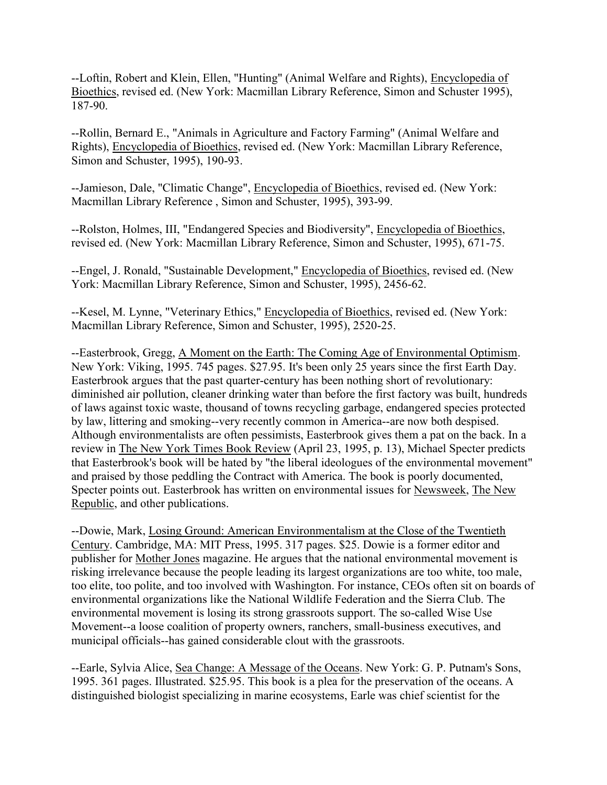--Loftin, Robert and Klein, Ellen, "Hunting" (Animal Welfare and Rights), Encyclopedia of Bioethics, revised ed. (New York: Macmillan Library Reference, Simon and Schuster 1995), 187-90.

--Rollin, Bernard E., "Animals in Agriculture and Factory Farming" (Animal Welfare and Rights), Encyclopedia of Bioethics, revised ed. (New York: Macmillan Library Reference, Simon and Schuster, 1995), 190-93.

--Jamieson, Dale, "Climatic Change", Encyclopedia of Bioethics, revised ed. (New York: Macmillan Library Reference , Simon and Schuster, 1995), 393-99.

--Rolston, Holmes, III, "Endangered Species and Biodiversity", Encyclopedia of Bioethics, revised ed. (New York: Macmillan Library Reference, Simon and Schuster, 1995), 671-75.

--Engel, J. Ronald, "Sustainable Development," Encyclopedia of Bioethics, revised ed. (New York: Macmillan Library Reference, Simon and Schuster, 1995), 2456-62.

--Kesel, M. Lynne, "Veterinary Ethics," Encyclopedia of Bioethics, revised ed. (New York: Macmillan Library Reference, Simon and Schuster, 1995), 2520-25.

--Easterbrook, Gregg, A Moment on the Earth: The Coming Age of Environmental Optimism. New York: Viking, 1995. 745 pages. \$27.95. It's been only 25 years since the first Earth Day. Easterbrook argues that the past quarter-century has been nothing short of revolutionary: diminished air pollution, cleaner drinking water than before the first factory was built, hundreds of laws against toxic waste, thousand of towns recycling garbage, endangered species protected by law, littering and smoking--very recently common in America--are now both despised. Although environmentalists are often pessimists, Easterbrook gives them a pat on the back. In a review in The New York Times Book Review (April 23, 1995, p. 13), Michael Specter predicts that Easterbrook's book will be hated by "the liberal ideologues of the environmental movement" and praised by those peddling the Contract with America. The book is poorly documented, Specter points out. Easterbrook has written on environmental issues for Newsweek, The New Republic, and other publications.

--Dowie, Mark, Losing Ground: American Environmentalism at the Close of the Twentieth Century. Cambridge, MA: MIT Press, 1995. 317 pages. \$25. Dowie is a former editor and publisher for Mother Jones magazine. He argues that the national environmental movement is risking irrelevance because the people leading its largest organizations are too white, too male, too elite, too polite, and too involved with Washington. For instance, CEOs often sit on boards of environmental organizations like the National Wildlife Federation and the Sierra Club. The environmental movement is losing its strong grassroots support. The so-called Wise Use Movement--a loose coalition of property owners, ranchers, small-business executives, and municipal officials--has gained considerable clout with the grassroots.

--Earle, Sylvia Alice, Sea Change: A Message of the Oceans. New York: G. P. Putnam's Sons, 1995. 361 pages. Illustrated. \$25.95. This book is a plea for the preservation of the oceans. A distinguished biologist specializing in marine ecosystems, Earle was chief scientist for the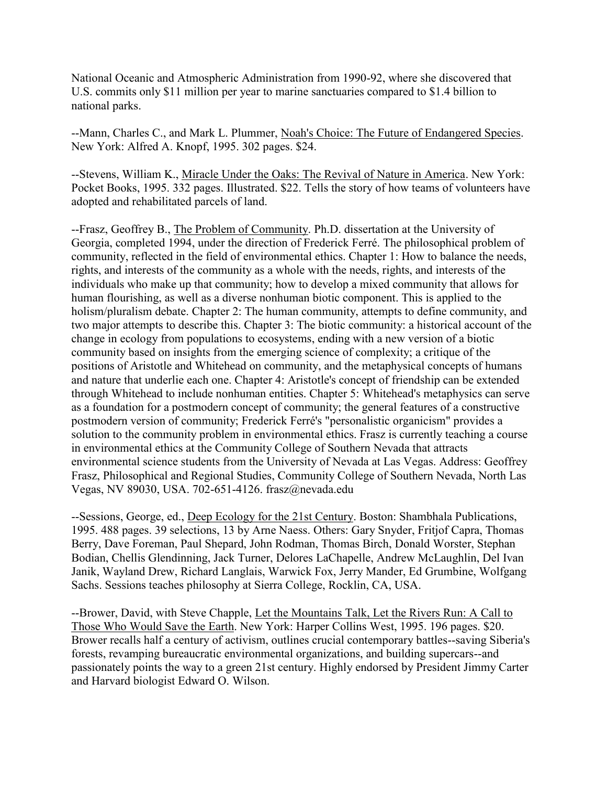National Oceanic and Atmospheric Administration from 1990-92, where she discovered that U.S. commits only \$11 million per year to marine sanctuaries compared to \$1.4 billion to national parks.

--Mann, Charles C., and Mark L. Plummer, Noah's Choice: The Future of Endangered Species. New York: Alfred A. Knopf, 1995. 302 pages. \$24.

--Stevens, William K., Miracle Under the Oaks: The Revival of Nature in America. New York: Pocket Books, 1995. 332 pages. Illustrated. \$22. Tells the story of how teams of volunteers have adopted and rehabilitated parcels of land.

--Frasz, Geoffrey B., The Problem of Community. Ph.D. dissertation at the University of Georgia, completed 1994, under the direction of Frederick Ferré. The philosophical problem of community, reflected in the field of environmental ethics. Chapter 1: How to balance the needs, rights, and interests of the community as a whole with the needs, rights, and interests of the individuals who make up that community; how to develop a mixed community that allows for human flourishing, as well as a diverse nonhuman biotic component. This is applied to the holism/pluralism debate. Chapter 2: The human community, attempts to define community, and two major attempts to describe this. Chapter 3: The biotic community: a historical account of the change in ecology from populations to ecosystems, ending with a new version of a biotic community based on insights from the emerging science of complexity; a critique of the positions of Aristotle and Whitehead on community, and the metaphysical concepts of humans and nature that underlie each one. Chapter 4: Aristotle's concept of friendship can be extended through Whitehead to include nonhuman entities. Chapter 5: Whitehead's metaphysics can serve as a foundation for a postmodern concept of community; the general features of a constructive postmodern version of community; Frederick Ferré's "personalistic organicism" provides a solution to the community problem in environmental ethics. Frasz is currently teaching a course in environmental ethics at the Community College of Southern Nevada that attracts environmental science students from the University of Nevada at Las Vegas. Address: Geoffrey Frasz, Philosophical and Regional Studies, Community College of Southern Nevada, North Las Vegas, NV 89030, USA. 702-651-4126. frasz@nevada.edu

--Sessions, George, ed., Deep Ecology for the 21st Century. Boston: Shambhala Publications, 1995. 488 pages. 39 selections, 13 by Arne Naess. Others: Gary Snyder, Fritjof Capra, Thomas Berry, Dave Foreman, Paul Shepard, John Rodman, Thomas Birch, Donald Worster, Stephan Bodian, Chellis Glendinning, Jack Turner, Delores LaChapelle, Andrew McLaughlin, Del Ivan Janik, Wayland Drew, Richard Langlais, Warwick Fox, Jerry Mander, Ed Grumbine, Wolfgang Sachs. Sessions teaches philosophy at Sierra College, Rocklin, CA, USA.

--Brower, David, with Steve Chapple, Let the Mountains Talk, Let the Rivers Run: A Call to Those Who Would Save the Earth. New York: Harper Collins West, 1995. 196 pages. \$20. Brower recalls half a century of activism, outlines crucial contemporary battles--saving Siberia's forests, revamping bureaucratic environmental organizations, and building supercars--and passionately points the way to a green 21st century. Highly endorsed by President Jimmy Carter and Harvard biologist Edward O. Wilson.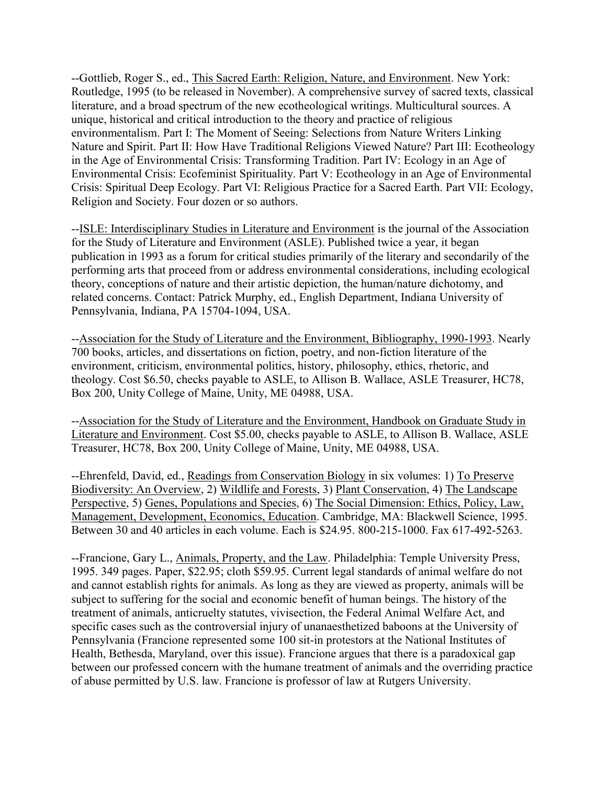--Gottlieb, Roger S., ed., This Sacred Earth: Religion, Nature, and Environment. New York: Routledge, 1995 (to be released in November). A comprehensive survey of sacred texts, classical literature, and a broad spectrum of the new ecotheological writings. Multicultural sources. A unique, historical and critical introduction to the theory and practice of religious environmentalism. Part I: The Moment of Seeing: Selections from Nature Writers Linking Nature and Spirit. Part II: How Have Traditional Religions Viewed Nature? Part III: Ecotheology in the Age of Environmental Crisis: Transforming Tradition. Part IV: Ecology in an Age of Environmental Crisis: Ecofeminist Spirituality. Part V: Ecotheology in an Age of Environmental Crisis: Spiritual Deep Ecology. Part VI: Religious Practice for a Sacred Earth. Part VII: Ecology, Religion and Society. Four dozen or so authors.

--ISLE: Interdisciplinary Studies in Literature and Environment is the journal of the Association for the Study of Literature and Environment (ASLE). Published twice a year, it began publication in 1993 as a forum for critical studies primarily of the literary and secondarily of the performing arts that proceed from or address environmental considerations, including ecological theory, conceptions of nature and their artistic depiction, the human/nature dichotomy, and related concerns. Contact: Patrick Murphy, ed., English Department, Indiana University of Pennsylvania, Indiana, PA 15704-1094, USA.

--Association for the Study of Literature and the Environment, Bibliography, 1990-1993. Nearly 700 books, articles, and dissertations on fiction, poetry, and non-fiction literature of the environment, criticism, environmental politics, history, philosophy, ethics, rhetoric, and theology. Cost \$6.50, checks payable to ASLE, to Allison B. Wallace, ASLE Treasurer, HC78, Box 200, Unity College of Maine, Unity, ME 04988, USA.

--Association for the Study of Literature and the Environment, Handbook on Graduate Study in Literature and Environment. Cost \$5.00, checks payable to ASLE, to Allison B. Wallace, ASLE Treasurer, HC78, Box 200, Unity College of Maine, Unity, ME 04988, USA.

--Ehrenfeld, David, ed., Readings from Conservation Biology in six volumes: 1) To Preserve Biodiversity: An Overview, 2) Wildlife and Forests, 3) Plant Conservation, 4) The Landscape Perspective, 5) Genes, Populations and Species, 6) The Social Dimension: Ethics, Policy, Law, Management, Development, Economics, Education. Cambridge, MA: Blackwell Science, 1995. Between 30 and 40 articles in each volume. Each is \$24.95. 800-215-1000. Fax 617-492-5263.

--Francione, Gary L., Animals, Property, and the Law. Philadelphia: Temple University Press, 1995. 349 pages. Paper, \$22.95; cloth \$59.95. Current legal standards of animal welfare do not and cannot establish rights for animals. As long as they are viewed as property, animals will be subject to suffering for the social and economic benefit of human beings. The history of the treatment of animals, anticruelty statutes, vivisection, the Federal Animal Welfare Act, and specific cases such as the controversial injury of unanaesthetized baboons at the University of Pennsylvania (Francione represented some 100 sit-in protestors at the National Institutes of Health, Bethesda, Maryland, over this issue). Francione argues that there is a paradoxical gap between our professed concern with the humane treatment of animals and the overriding practice of abuse permitted by U.S. law. Francione is professor of law at Rutgers University.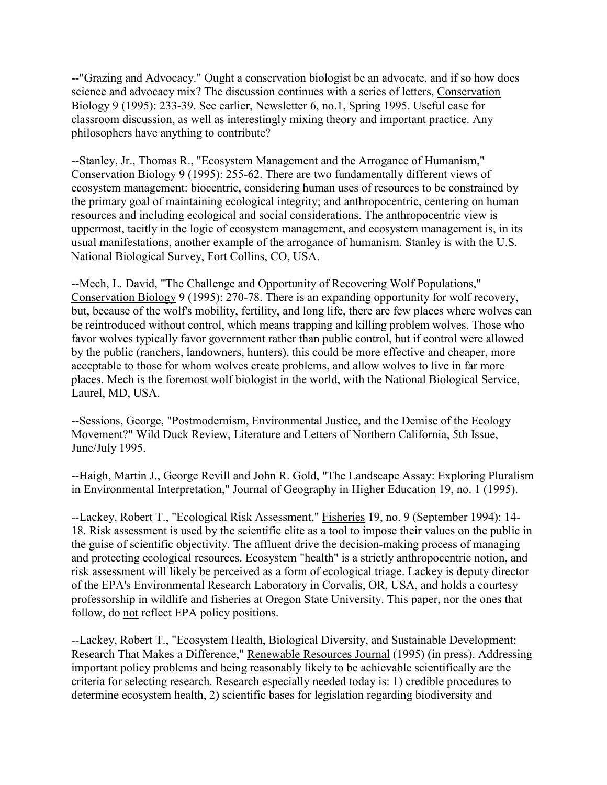--"Grazing and Advocacy." Ought a conservation biologist be an advocate, and if so how does science and advocacy mix? The discussion continues with a series of letters, Conservation Biology 9 (1995): 233-39. See earlier, Newsletter 6, no.1, Spring 1995. Useful case for classroom discussion, as well as interestingly mixing theory and important practice. Any philosophers have anything to contribute?

--Stanley, Jr., Thomas R., "Ecosystem Management and the Arrogance of Humanism," Conservation Biology 9 (1995): 255-62. There are two fundamentally different views of ecosystem management: biocentric, considering human uses of resources to be constrained by the primary goal of maintaining ecological integrity; and anthropocentric, centering on human resources and including ecological and social considerations. The anthropocentric view is uppermost, tacitly in the logic of ecosystem management, and ecosystem management is, in its usual manifestations, another example of the arrogance of humanism. Stanley is with the U.S. National Biological Survey, Fort Collins, CO, USA.

--Mech, L. David, "The Challenge and Opportunity of Recovering Wolf Populations," Conservation Biology 9 (1995): 270-78. There is an expanding opportunity for wolf recovery, but, because of the wolf's mobility, fertility, and long life, there are few places where wolves can be reintroduced without control, which means trapping and killing problem wolves. Those who favor wolves typically favor government rather than public control, but if control were allowed by the public (ranchers, landowners, hunters), this could be more effective and cheaper, more acceptable to those for whom wolves create problems, and allow wolves to live in far more places. Mech is the foremost wolf biologist in the world, with the National Biological Service, Laurel, MD, USA.

--Sessions, George, "Postmodernism, Environmental Justice, and the Demise of the Ecology Movement?" Wild Duck Review, Literature and Letters of Northern California, 5th Issue, June/July 1995.

--Haigh, Martin J., George Revill and John R. Gold, "The Landscape Assay: Exploring Pluralism in Environmental Interpretation," Journal of Geography in Higher Education 19, no. 1 (1995).

--Lackey, Robert T., "Ecological Risk Assessment," Fisheries 19, no. 9 (September 1994): 14- 18. Risk assessment is used by the scientific elite as a tool to impose their values on the public in the guise of scientific objectivity. The affluent drive the decision-making process of managing and protecting ecological resources. Ecosystem "health" is a strictly anthropocentric notion, and risk assessment will likely be perceived as a form of ecological triage. Lackey is deputy director of the EPA's Environmental Research Laboratory in Corvalis, OR, USA, and holds a courtesy professorship in wildlife and fisheries at Oregon State University. This paper, nor the ones that follow, do not reflect EPA policy positions.

--Lackey, Robert T., "Ecosystem Health, Biological Diversity, and Sustainable Development: Research That Makes a Difference," Renewable Resources Journal (1995) (in press). Addressing important policy problems and being reasonably likely to be achievable scientifically are the criteria for selecting research. Research especially needed today is: 1) credible procedures to determine ecosystem health, 2) scientific bases for legislation regarding biodiversity and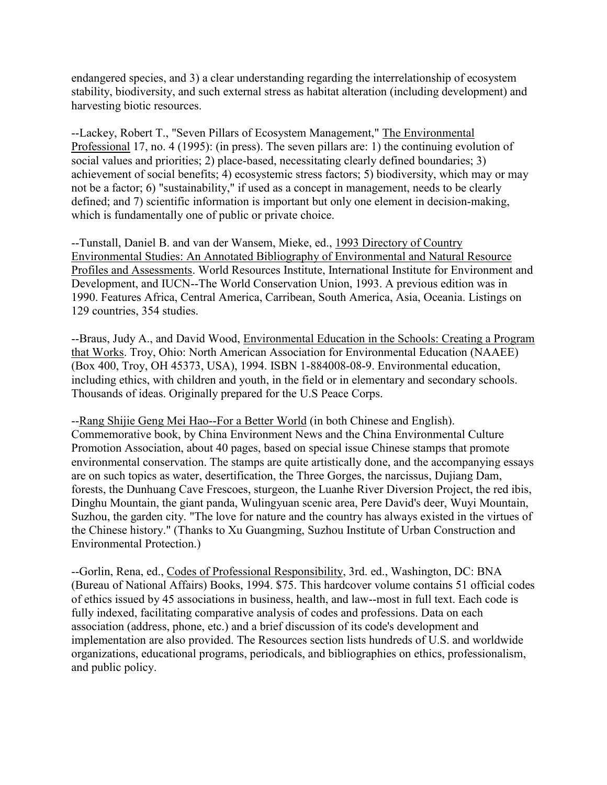endangered species, and 3) a clear understanding regarding the interrelationship of ecosystem stability, biodiversity, and such external stress as habitat alteration (including development) and harvesting biotic resources.

--Lackey, Robert T., "Seven Pillars of Ecosystem Management," The Environmental Professional 17, no. 4 (1995): (in press). The seven pillars are: 1) the continuing evolution of social values and priorities; 2) place-based, necessitating clearly defined boundaries; 3) achievement of social benefits; 4) ecosystemic stress factors; 5) biodiversity, which may or may not be a factor; 6) "sustainability," if used as a concept in management, needs to be clearly defined; and 7) scientific information is important but only one element in decision-making, which is fundamentally one of public or private choice.

--Tunstall, Daniel B. and van der Wansem, Mieke, ed., 1993 Directory of Country Environmental Studies: An Annotated Bibliography of Environmental and Natural Resource Profiles and Assessments. World Resources Institute, International Institute for Environment and Development, and IUCN--The World Conservation Union, 1993. A previous edition was in 1990. Features Africa, Central America, Carribean, South America, Asia, Oceania. Listings on 129 countries, 354 studies.

--Braus, Judy A., and David Wood, Environmental Education in the Schools: Creating a Program that Works. Troy, Ohio: North American Association for Environmental Education (NAAEE) (Box 400, Troy, OH 45373, USA), 1994. ISBN 1-884008-08-9. Environmental education, including ethics, with children and youth, in the field or in elementary and secondary schools. Thousands of ideas. Originally prepared for the U.S Peace Corps.

--Rang Shijie Geng Mei Hao--For a Better World (in both Chinese and English). Commemorative book, by China Environment News and the China Environmental Culture Promotion Association, about 40 pages, based on special issue Chinese stamps that promote environmental conservation. The stamps are quite artistically done, and the accompanying essays are on such topics as water, desertification, the Three Gorges, the narcissus, Dujiang Dam, forests, the Dunhuang Cave Frescoes, sturgeon, the Luanhe River Diversion Project, the red ibis, Dinghu Mountain, the giant panda, Wulingyuan scenic area, Pere David's deer, Wuyi Mountain, Suzhou, the garden city. "The love for nature and the country has always existed in the virtues of the Chinese history." (Thanks to Xu Guangming, Suzhou Institute of Urban Construction and Environmental Protection.)

--Gorlin, Rena, ed., Codes of Professional Responsibility, 3rd. ed., Washington, DC: BNA (Bureau of National Affairs) Books, 1994. \$75. This hardcover volume contains 51 official codes of ethics issued by 45 associations in business, health, and law--most in full text. Each code is fully indexed, facilitating comparative analysis of codes and professions. Data on each association (address, phone, etc.) and a brief discussion of its code's development and implementation are also provided. The Resources section lists hundreds of U.S. and worldwide organizations, educational programs, periodicals, and bibliographies on ethics, professionalism, and public policy.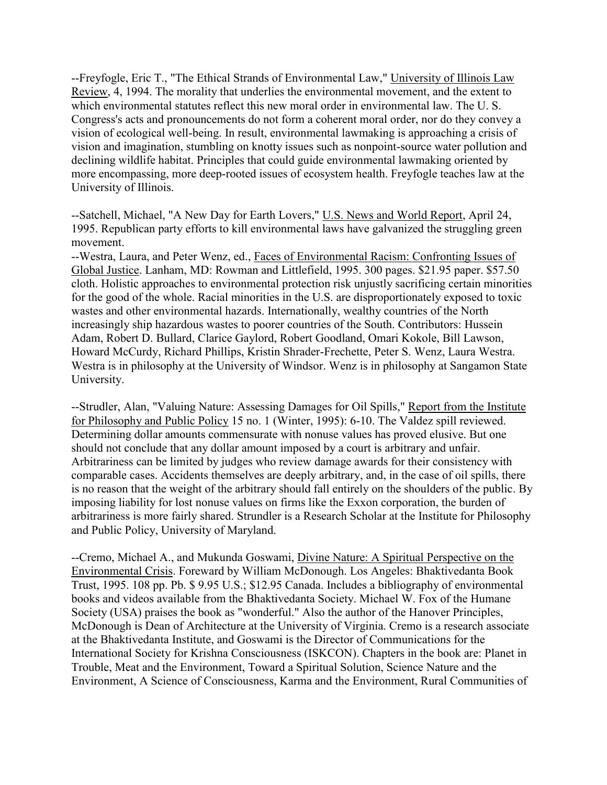--Freyfogle, Eric T., "The Ethical Strands of Environmental Law," University of Illinois Law Review, 4, 1994. The morality that underlies the environmental movement, and the extent to which environmental statutes reflect this new moral order in environmental law. The U. S. Congress's acts and pronouncements do not form a coherent moral order, nor do they convey a vision of ecological well-being. In result, environmental lawmaking is approaching a crisis of vision and imagination, stumbling on knotty issues such as nonpoint-source water pollution and declining wildlife habitat. Principles that could guide environmental lawmaking oriented by more encompassing, more deep-rooted issues of ecosystem health. Freyfogle teaches law at the University of Illinois.

--Satchell, Michael, "A New Day for Earth Lovers," U.S. News and World Report, April 24, 1995. Republican party efforts to kill environmental laws have galvanized the struggling green movement.

--Westra, Laura, and Peter Wenz, ed., Faces of Environmental Racism: Confronting Issues of Global Justice. Lanham, MD: Rowman and Littlefield, 1995. 300 pages. \$21.95 paper. \$57.50 cloth. Holistic approaches to environmental protection risk unjustly sacrificing certain minorities for the good of the whole. Racial minorities in the U.S. are disproportionately exposed to toxic wastes and other environmental hazards. Internationally, wealthy countries of the North increasingly ship hazardous wastes to poorer countries of the South. Contributors: Hussein Adam, Robert D. Bullard, Clarice Gaylord, Robert Goodland, Omari Kokole, Bill Lawson, Howard McCurdy, Richard Phillips, Kristin Shrader-Frechette, Peter S. Wenz, Laura Westra. Westra is in philosophy at the University of Windsor. Wenz is in philosophy at Sangamon State University.

--Strudler, Alan, "Valuing Nature: Assessing Damages for Oil Spills," Report from the Institute for Philosophy and Public Policy 15 no. 1 (Winter, 1995): 6-10. The Valdez spill reviewed. Determining dollar amounts commensurate with nonuse values has proved elusive. But one should not conclude that any dollar amount imposed by a court is arbitrary and unfair. Arbitrariness can be limited by judges who review damage awards for their consistency with comparable cases. Accidents themselves are deeply arbitrary, and, in the case of oil spills, there is no reason that the weight of the arbitrary should fall entirely on the shoulders of the public. By imposing liability for lost nonuse values on firms like the Exxon corporation, the burden of arbitrariness is more fairly shared. Strundler is a Research Scholar at the Institute for Philosophy and Public Policy, University of Maryland.

--Cremo, Michael A., and Mukunda Goswami, Divine Nature: A Spiritual Perspective on the Environmental Crisis. Foreward by William McDonough. Los Angeles: Bhaktivedanta Book Trust, 1995. 108 pp. Pb. \$ 9.95 U.S.; \$12.95 Canada. Includes a bibliography of environmental books and videos available from the Bhaktivedanta Society. Michael W. Fox of the Humane Society (USA) praises the book as "wonderful." Also the author of the Hanover Principles, McDonough is Dean of Architecture at the University of Virginia. Cremo is a research associate at the Bhaktivedanta Institute, and Goswami is the Director of Communications for the International Society for Krishna Consciousness (ISKCON). Chapters in the book are: Planet in Trouble, Meat and the Environment, Toward a Spiritual Solution, Science Nature and the Environment, A Science of Consciousness, Karma and the Environment, Rural Communities of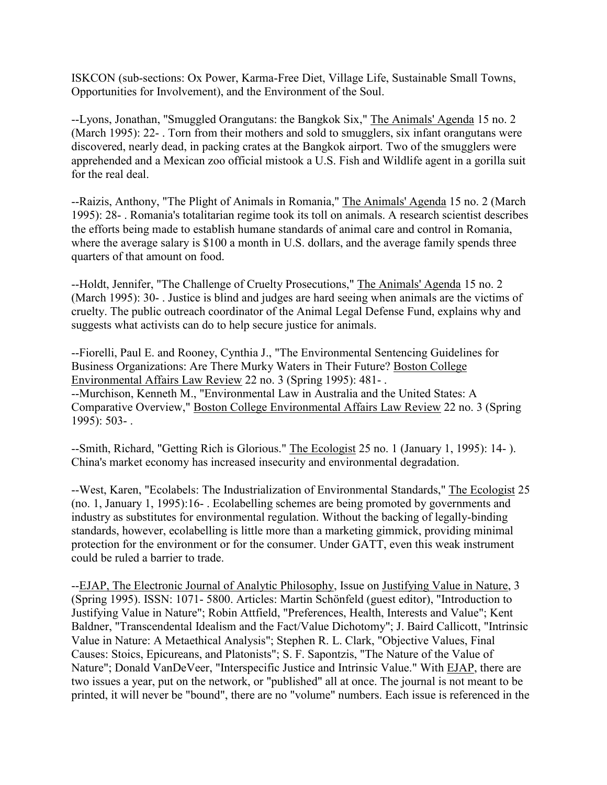ISKCON (sub-sections: Ox Power, Karma-Free Diet, Village Life, Sustainable Small Towns, Opportunities for Involvement), and the Environment of the Soul.

--Lyons, Jonathan, "Smuggled Orangutans: the Bangkok Six," The Animals' Agenda 15 no. 2 (March 1995): 22- . Torn from their mothers and sold to smugglers, six infant orangutans were discovered, nearly dead, in packing crates at the Bangkok airport. Two of the smugglers were apprehended and a Mexican zoo official mistook a U.S. Fish and Wildlife agent in a gorilla suit for the real deal.

--Raizis, Anthony, "The Plight of Animals in Romania," The Animals' Agenda 15 no. 2 (March 1995): 28- . Romania's totalitarian regime took its toll on animals. A research scientist describes the efforts being made to establish humane standards of animal care and control in Romania, where the average salary is \$100 a month in U.S. dollars, and the average family spends three quarters of that amount on food.

--Holdt, Jennifer, "The Challenge of Cruelty Prosecutions," The Animals' Agenda 15 no. 2 (March 1995): 30- . Justice is blind and judges are hard seeing when animals are the victims of cruelty. The public outreach coordinator of the Animal Legal Defense Fund, explains why and suggests what activists can do to help secure justice for animals.

--Fiorelli, Paul E. and Rooney, Cynthia J., "The Environmental Sentencing Guidelines for Business Organizations: Are There Murky Waters in Their Future? Boston College Environmental Affairs Law Review 22 no. 3 (Spring 1995): 481- . --Murchison, Kenneth M., "Environmental Law in Australia and the United States: A Comparative Overview," Boston College Environmental Affairs Law Review 22 no. 3 (Spring 1995): 503- .

--Smith, Richard, "Getting Rich is Glorious." The Ecologist 25 no. 1 (January 1, 1995): 14- ). China's market economy has increased insecurity and environmental degradation.

--West, Karen, "Ecolabels: The Industrialization of Environmental Standards," The Ecologist 25 (no. 1, January 1, 1995):16- . Ecolabelling schemes are being promoted by governments and industry as substitutes for environmental regulation. Without the backing of legally-binding standards, however, ecolabelling is little more than a marketing gimmick, providing minimal protection for the environment or for the consumer. Under GATT, even this weak instrument could be ruled a barrier to trade.

--EJAP, The Electronic Journal of Analytic Philosophy, Issue on Justifying Value in Nature, 3 (Spring 1995). ISSN: 1071- 5800. Articles: Martin Schönfeld (guest editor), "Introduction to Justifying Value in Nature"; Robin Attfield, "Preferences, Health, Interests and Value"; Kent Baldner, "Transcendental Idealism and the Fact/Value Dichotomy"; J. Baird Callicott, "Intrinsic Value in Nature: A Metaethical Analysis"; Stephen R. L. Clark, "Objective Values, Final Causes: Stoics, Epicureans, and Platonists"; S. F. Sapontzis, "The Nature of the Value of Nature"; Donald VanDeVeer, "Interspecific Justice and Intrinsic Value." With EJAP, there are two issues a year, put on the network, or "published" all at once. The journal is not meant to be printed, it will never be "bound", there are no "volume" numbers. Each issue is referenced in the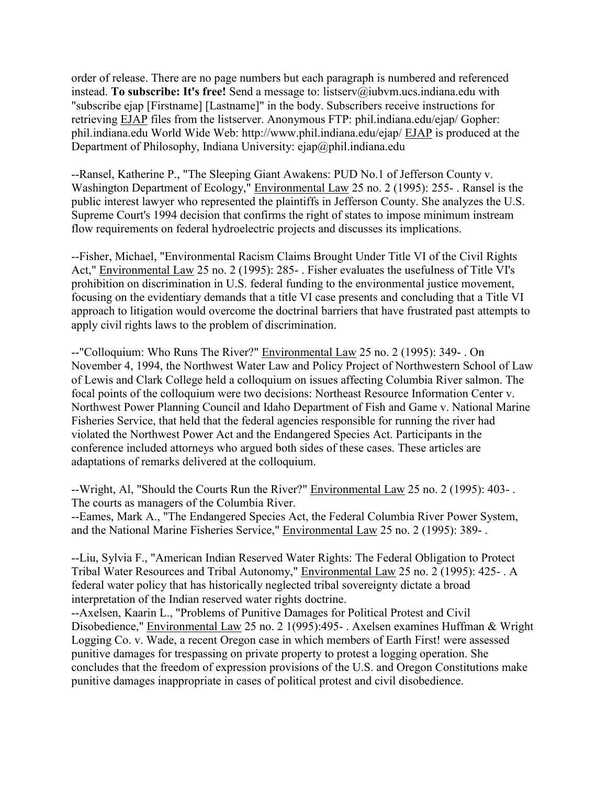order of release. There are no page numbers but each paragraph is numbered and referenced instead. **To subscribe: It's free!** Send a message to: listserv@iubvm.ucs.indiana.edu with "subscribe ejap [Firstname] [Lastname]" in the body. Subscribers receive instructions for retrieving EJAP files from the listserver. Anonymous FTP: phil.indiana.edu/ejap/ Gopher: phil.indiana.edu World Wide Web: http://www.phil.indiana.edu/ejap/ EJAP is produced at the Department of Philosophy, Indiana University:  $e$ jap $@p$ hil.indiana.edu

--Ransel, Katherine P., "The Sleeping Giant Awakens: PUD No.1 of Jefferson County v. Washington Department of Ecology," Environmental Law 25 no. 2 (1995): 255- . Ransel is the public interest lawyer who represented the plaintiffs in Jefferson County. She analyzes the U.S. Supreme Court's 1994 decision that confirms the right of states to impose minimum instream flow requirements on federal hydroelectric projects and discusses its implications.

--Fisher, Michael, "Environmental Racism Claims Brought Under Title VI of the Civil Rights Act," Environmental Law 25 no. 2 (1995): 285- . Fisher evaluates the usefulness of Title VI's prohibition on discrimination in U.S. federal funding to the environmental justice movement, focusing on the evidentiary demands that a title VI case presents and concluding that a Title VI approach to litigation would overcome the doctrinal barriers that have frustrated past attempts to apply civil rights laws to the problem of discrimination.

--"Colloquium: Who Runs The River?" Environmental Law 25 no. 2 (1995): 349- . On November 4, 1994, the Northwest Water Law and Policy Project of Northwestern School of Law of Lewis and Clark College held a colloquium on issues affecting Columbia River salmon. The focal points of the colloquium were two decisions: Northeast Resource Information Center v. Northwest Power Planning Council and Idaho Department of Fish and Game v. National Marine Fisheries Service, that held that the federal agencies responsible for running the river had violated the Northwest Power Act and the Endangered Species Act. Participants in the conference included attorneys who argued both sides of these cases. These articles are adaptations of remarks delivered at the colloquium.

--Wright, Al, "Should the Courts Run the River?" Environmental Law 25 no. 2 (1995): 403- . The courts as managers of the Columbia River. --Eames, Mark A., "The Endangered Species Act, the Federal Columbia River Power System, and the National Marine Fisheries Service," Environmental Law 25 no. 2 (1995): 389- .

--Liu, Sylvia F., "American Indian Reserved Water Rights: The Federal Obligation to Protect Tribal Water Resources and Tribal Autonomy," Environmental Law 25 no. 2 (1995): 425- . A federal water policy that has historically neglected tribal sovereignty dictate a broad interpretation of the Indian reserved water rights doctrine.

--Axelsen, Kaarin L., "Problems of Punitive Damages for Political Protest and Civil Disobedience," Environmental Law 25 no. 2 1(995):495- . Axelsen examines Huffman & Wright Logging Co. v. Wade, a recent Oregon case in which members of Earth First! were assessed punitive damages for trespassing on private property to protest a logging operation. She concludes that the freedom of expression provisions of the U.S. and Oregon Constitutions make punitive damages inappropriate in cases of political protest and civil disobedience.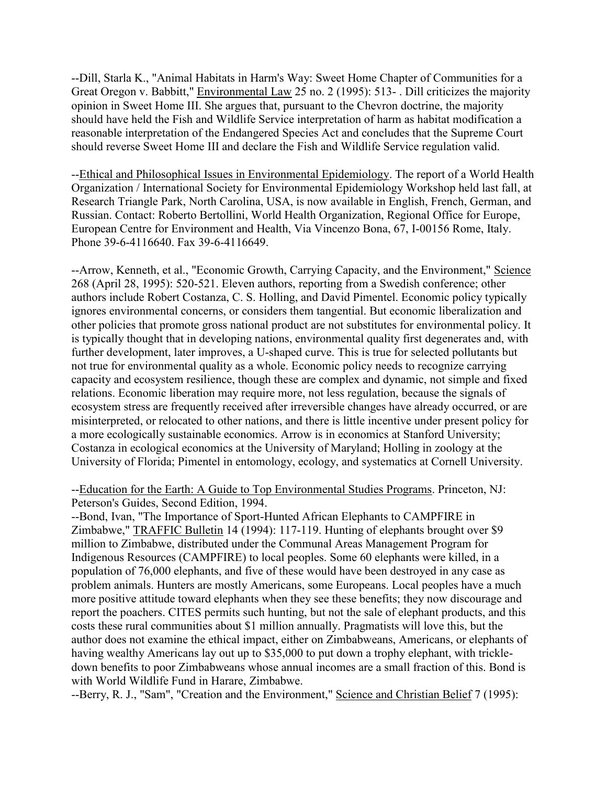--Dill, Starla K., "Animal Habitats in Harm's Way: Sweet Home Chapter of Communities for a Great Oregon v. Babbitt," Environmental Law 25 no. 2 (1995): 513- . Dill criticizes the majority opinion in Sweet Home III. She argues that, pursuant to the Chevron doctrine, the majority should have held the Fish and Wildlife Service interpretation of harm as habitat modification a reasonable interpretation of the Endangered Species Act and concludes that the Supreme Court should reverse Sweet Home III and declare the Fish and Wildlife Service regulation valid.

--Ethical and Philosophical Issues in Environmental Epidemiology. The report of a World Health Organization / International Society for Environmental Epidemiology Workshop held last fall, at Research Triangle Park, North Carolina, USA, is now available in English, French, German, and Russian. Contact: Roberto Bertollini, World Health Organization, Regional Office for Europe, European Centre for Environment and Health, Via Vincenzo Bona, 67, I-00156 Rome, Italy. Phone 39-6-4116640. Fax 39-6-4116649.

--Arrow, Kenneth, et al., "Economic Growth, Carrying Capacity, and the Environment," Science 268 (April 28, 1995): 520-521. Eleven authors, reporting from a Swedish conference; other authors include Robert Costanza, C. S. Holling, and David Pimentel. Economic policy typically ignores environmental concerns, or considers them tangential. But economic liberalization and other policies that promote gross national product are not substitutes for environmental policy. It is typically thought that in developing nations, environmental quality first degenerates and, with further development, later improves, a U-shaped curve. This is true for selected pollutants but not true for environmental quality as a whole. Economic policy needs to recognize carrying capacity and ecosystem resilience, though these are complex and dynamic, not simple and fixed relations. Economic liberation may require more, not less regulation, because the signals of ecosystem stress are frequently received after irreversible changes have already occurred, or are misinterpreted, or relocated to other nations, and there is little incentive under present policy for a more ecologically sustainable economics. Arrow is in economics at Stanford University; Costanza in ecological economics at the University of Maryland; Holling in zoology at the University of Florida; Pimentel in entomology, ecology, and systematics at Cornell University.

--Education for the Earth: A Guide to Top Environmental Studies Programs. Princeton, NJ: Peterson's Guides, Second Edition, 1994.

--Bond, Ivan, "The Importance of Sport-Hunted African Elephants to CAMPFIRE in Zimbabwe," TRAFFIC Bulletin 14 (1994): 117-119. Hunting of elephants brought over \$9 million to Zimbabwe, distributed under the Communal Areas Management Program for Indigenous Resources (CAMPFIRE) to local peoples. Some 60 elephants were killed, in a population of 76,000 elephants, and five of these would have been destroyed in any case as problem animals. Hunters are mostly Americans, some Europeans. Local peoples have a much more positive attitude toward elephants when they see these benefits; they now discourage and report the poachers. CITES permits such hunting, but not the sale of elephant products, and this costs these rural communities about \$1 million annually. Pragmatists will love this, but the author does not examine the ethical impact, either on Zimbabweans, Americans, or elephants of having wealthy Americans lay out up to \$35,000 to put down a trophy elephant, with trickledown benefits to poor Zimbabweans whose annual incomes are a small fraction of this. Bond is with World Wildlife Fund in Harare, Zimbabwe.

--Berry, R. J., "Sam", "Creation and the Environment," Science and Christian Belief 7 (1995):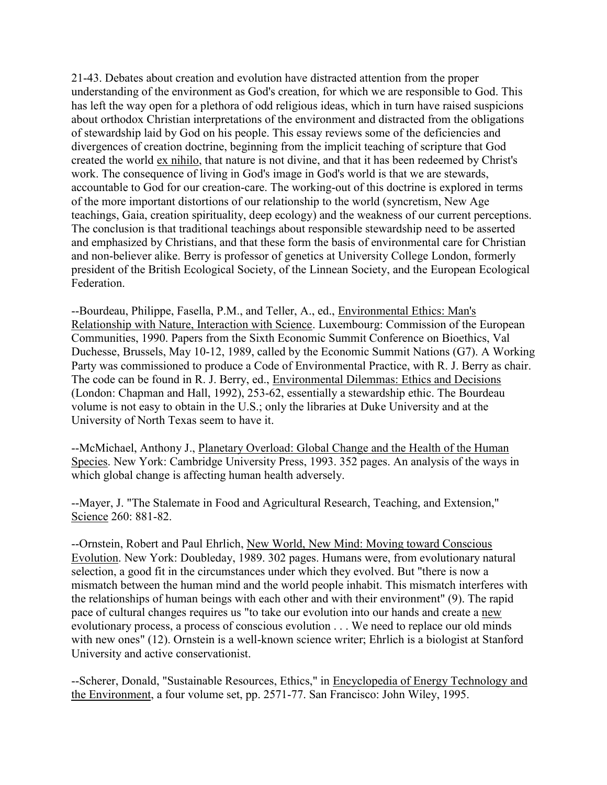21-43. Debates about creation and evolution have distracted attention from the proper understanding of the environment as God's creation, for which we are responsible to God. This has left the way open for a plethora of odd religious ideas, which in turn have raised suspicions about orthodox Christian interpretations of the environment and distracted from the obligations of stewardship laid by God on his people. This essay reviews some of the deficiencies and divergences of creation doctrine, beginning from the implicit teaching of scripture that God created the world ex nihilo, that nature is not divine, and that it has been redeemed by Christ's work. The consequence of living in God's image in God's world is that we are stewards, accountable to God for our creation-care. The working-out of this doctrine is explored in terms of the more important distortions of our relationship to the world (syncretism, New Age teachings, Gaia, creation spirituality, deep ecology) and the weakness of our current perceptions. The conclusion is that traditional teachings about responsible stewardship need to be asserted and emphasized by Christians, and that these form the basis of environmental care for Christian and non-believer alike. Berry is professor of genetics at University College London, formerly president of the British Ecological Society, of the Linnean Society, and the European Ecological Federation.

--Bourdeau, Philippe, Fasella, P.M., and Teller, A., ed., Environmental Ethics: Man's Relationship with Nature, Interaction with Science. Luxembourg: Commission of the European Communities, 1990. Papers from the Sixth Economic Summit Conference on Bioethics, Val Duchesse, Brussels, May 10-12, 1989, called by the Economic Summit Nations (G7). A Working Party was commissioned to produce a Code of Environmental Practice, with R. J. Berry as chair. The code can be found in R. J. Berry, ed., Environmental Dilemmas: Ethics and Decisions (London: Chapman and Hall, 1992), 253-62, essentially a stewardship ethic. The Bourdeau volume is not easy to obtain in the U.S.; only the libraries at Duke University and at the University of North Texas seem to have it.

--McMichael, Anthony J., Planetary Overload: Global Change and the Health of the Human Species. New York: Cambridge University Press, 1993. 352 pages. An analysis of the ways in which global change is affecting human health adversely.

--Mayer, J. "The Stalemate in Food and Agricultural Research, Teaching, and Extension," Science 260: 881-82.

--Ornstein, Robert and Paul Ehrlich, New World, New Mind: Moving toward Conscious Evolution. New York: Doubleday, 1989. 302 pages. Humans were, from evolutionary natural selection, a good fit in the circumstances under which they evolved. But "there is now a mismatch between the human mind and the world people inhabit. This mismatch interferes with the relationships of human beings with each other and with their environment" (9). The rapid pace of cultural changes requires us "to take our evolution into our hands and create a new evolutionary process, a process of conscious evolution . . . We need to replace our old minds with new ones" (12). Ornstein is a well-known science writer; Ehrlich is a biologist at Stanford University and active conservationist.

--Scherer, Donald, "Sustainable Resources, Ethics," in Encyclopedia of Energy Technology and the Environment, a four volume set, pp. 2571-77. San Francisco: John Wiley, 1995.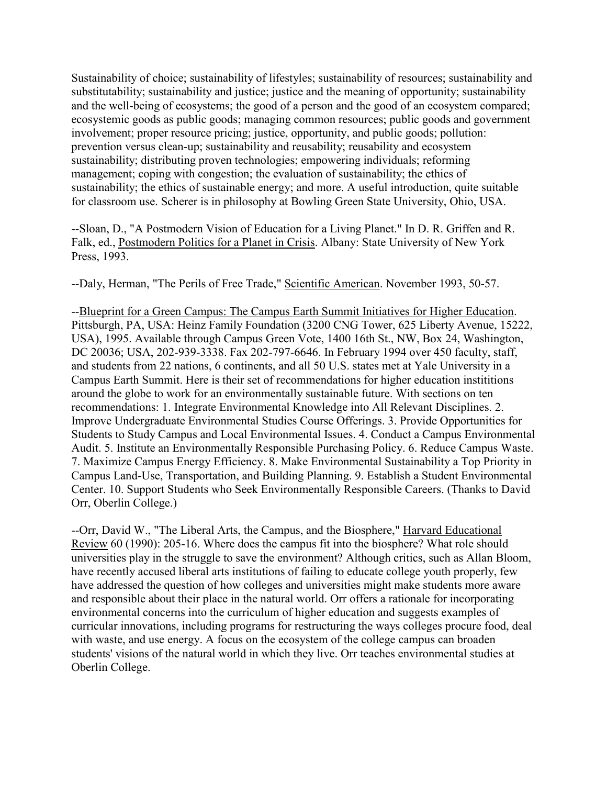Sustainability of choice; sustainability of lifestyles; sustainability of resources; sustainability and substitutability; sustainability and justice; justice and the meaning of opportunity; sustainability and the well-being of ecosystems; the good of a person and the good of an ecosystem compared; ecosystemic goods as public goods; managing common resources; public goods and government involvement; proper resource pricing; justice, opportunity, and public goods; pollution: prevention versus clean-up; sustainability and reusability; reusability and ecosystem sustainability; distributing proven technologies; empowering individuals; reforming management; coping with congestion; the evaluation of sustainability; the ethics of sustainability; the ethics of sustainable energy; and more. A useful introduction, quite suitable for classroom use. Scherer is in philosophy at Bowling Green State University, Ohio, USA.

--Sloan, D., "A Postmodern Vision of Education for a Living Planet." In D. R. Griffen and R. Falk, ed., Postmodern Politics for a Planet in Crisis. Albany: State University of New York Press, 1993.

--Daly, Herman, "The Perils of Free Trade," Scientific American. November 1993, 50-57.

--Blueprint for a Green Campus: The Campus Earth Summit Initiatives for Higher Education. Pittsburgh, PA, USA: Heinz Family Foundation (3200 CNG Tower, 625 Liberty Avenue, 15222, USA), 1995. Available through Campus Green Vote, 1400 16th St., NW, Box 24, Washington, DC 20036; USA, 202-939-3338. Fax 202-797-6646. In February 1994 over 450 faculty, staff, and students from 22 nations, 6 continents, and all 50 U.S. states met at Yale University in a Campus Earth Summit. Here is their set of recommendations for higher education instititions around the globe to work for an environmentally sustainable future. With sections on ten recommendations: 1. Integrate Environmental Knowledge into All Relevant Disciplines. 2. Improve Undergraduate Environmental Studies Course Offerings. 3. Provide Opportunities for Students to Study Campus and Local Environmental Issues. 4. Conduct a Campus Environmental Audit. 5. Institute an Environmentally Responsible Purchasing Policy. 6. Reduce Campus Waste. 7. Maximize Campus Energy Efficiency. 8. Make Environmental Sustainability a Top Priority in Campus Land-Use, Transportation, and Building Planning. 9. Establish a Student Environmental Center. 10. Support Students who Seek Environmentally Responsible Careers. (Thanks to David Orr, Oberlin College.)

--Orr, David W., "The Liberal Arts, the Campus, and the Biosphere," Harvard Educational Review 60 (1990): 205-16. Where does the campus fit into the biosphere? What role should universities play in the struggle to save the environment? Although critics, such as Allan Bloom, have recently accused liberal arts institutions of failing to educate college youth properly, few have addressed the question of how colleges and universities might make students more aware and responsible about their place in the natural world. Orr offers a rationale for incorporating environmental concerns into the curriculum of higher education and suggests examples of curricular innovations, including programs for restructuring the ways colleges procure food, deal with waste, and use energy. A focus on the ecosystem of the college campus can broaden students' visions of the natural world in which they live. Orr teaches environmental studies at Oberlin College.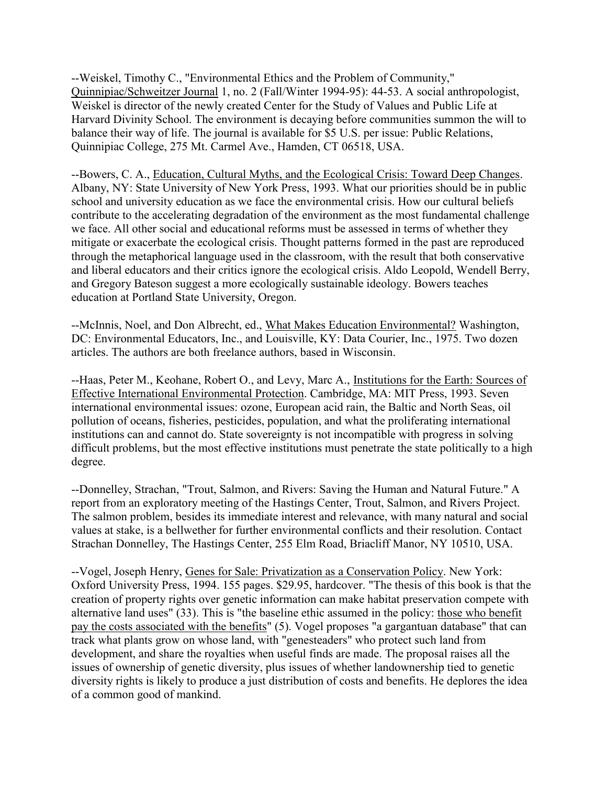--Weiskel, Timothy C., "Environmental Ethics and the Problem of Community," Quinnipiac/Schweitzer Journal 1, no. 2 (Fall/Winter 1994-95): 44-53. A social anthropologist, Weiskel is director of the newly created Center for the Study of Values and Public Life at Harvard Divinity School. The environment is decaying before communities summon the will to balance their way of life. The journal is available for \$5 U.S. per issue: Public Relations, Quinnipiac College, 275 Mt. Carmel Ave., Hamden, CT 06518, USA.

--Bowers, C. A., Education, Cultural Myths, and the Ecological Crisis: Toward Deep Changes. Albany, NY: State University of New York Press, 1993. What our priorities should be in public school and university education as we face the environmental crisis. How our cultural beliefs contribute to the accelerating degradation of the environment as the most fundamental challenge we face. All other social and educational reforms must be assessed in terms of whether they mitigate or exacerbate the ecological crisis. Thought patterns formed in the past are reproduced through the metaphorical language used in the classroom, with the result that both conservative and liberal educators and their critics ignore the ecological crisis. Aldo Leopold, Wendell Berry, and Gregory Bateson suggest a more ecologically sustainable ideology. Bowers teaches education at Portland State University, Oregon.

--McInnis, Noel, and Don Albrecht, ed., What Makes Education Environmental? Washington, DC: Environmental Educators, Inc., and Louisville, KY: Data Courier, Inc., 1975. Two dozen articles. The authors are both freelance authors, based in Wisconsin.

--Haas, Peter M., Keohane, Robert O., and Levy, Marc A., Institutions for the Earth: Sources of Effective International Environmental Protection. Cambridge, MA: MIT Press, 1993. Seven international environmental issues: ozone, European acid rain, the Baltic and North Seas, oil pollution of oceans, fisheries, pesticides, population, and what the proliferating international institutions can and cannot do. State sovereignty is not incompatible with progress in solving difficult problems, but the most effective institutions must penetrate the state politically to a high degree.

--Donnelley, Strachan, "Trout, Salmon, and Rivers: Saving the Human and Natural Future." A report from an exploratory meeting of the Hastings Center, Trout, Salmon, and Rivers Project. The salmon problem, besides its immediate interest and relevance, with many natural and social values at stake, is a bellwether for further environmental conflicts and their resolution. Contact Strachan Donnelley, The Hastings Center, 255 Elm Road, Briacliff Manor, NY 10510, USA.

--Vogel, Joseph Henry, Genes for Sale: Privatization as a Conservation Policy. New York: Oxford University Press, 1994. 155 pages. \$29.95, hardcover. "The thesis of this book is that the creation of property rights over genetic information can make habitat preservation compete with alternative land uses" (33). This is "the baseline ethic assumed in the policy: those who benefit pay the costs associated with the benefits" (5). Vogel proposes "a gargantuan database" that can track what plants grow on whose land, with "genesteaders" who protect such land from development, and share the royalties when useful finds are made. The proposal raises all the issues of ownership of genetic diversity, plus issues of whether landownership tied to genetic diversity rights is likely to produce a just distribution of costs and benefits. He deplores the idea of a common good of mankind.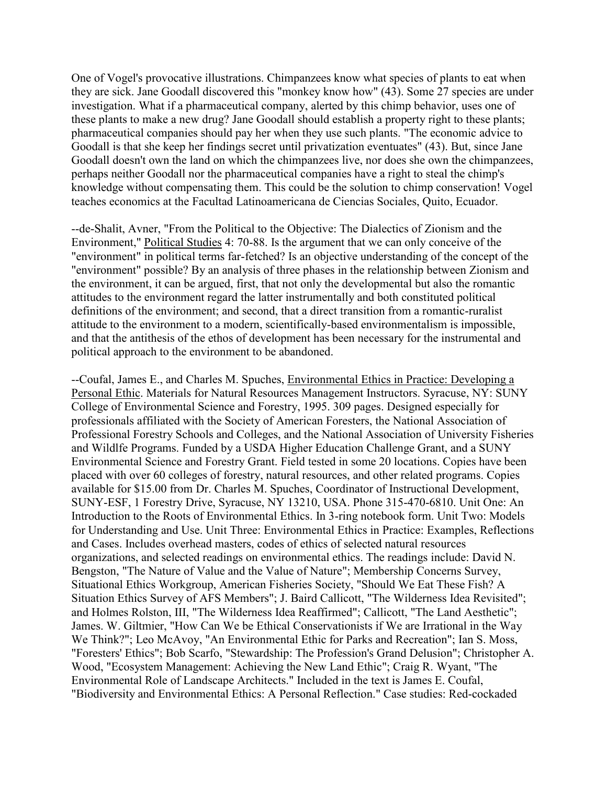One of Vogel's provocative illustrations. Chimpanzees know what species of plants to eat when they are sick. Jane Goodall discovered this "monkey know how" (43). Some 27 species are under investigation. What if a pharmaceutical company, alerted by this chimp behavior, uses one of these plants to make a new drug? Jane Goodall should establish a property right to these plants; pharmaceutical companies should pay her when they use such plants. "The economic advice to Goodall is that she keep her findings secret until privatization eventuates" (43). But, since Jane Goodall doesn't own the land on which the chimpanzees live, nor does she own the chimpanzees, perhaps neither Goodall nor the pharmaceutical companies have a right to steal the chimp's knowledge without compensating them. This could be the solution to chimp conservation! Vogel teaches economics at the Facultad Latinoamericana de Ciencias Sociales, Quito, Ecuador.

--de-Shalit, Avner, "From the Political to the Objective: The Dialectics of Zionism and the Environment," Political Studies 4: 70-88. Is the argument that we can only conceive of the "environment" in political terms far-fetched? Is an objective understanding of the concept of the "environment" possible? By an analysis of three phases in the relationship between Zionism and the environment, it can be argued, first, that not only the developmental but also the romantic attitudes to the environment regard the latter instrumentally and both constituted political definitions of the environment; and second, that a direct transition from a romantic-ruralist attitude to the environment to a modern, scientifically-based environmentalism is impossible, and that the antithesis of the ethos of development has been necessary for the instrumental and political approach to the environment to be abandoned.

--Coufal, James E., and Charles M. Spuches, Environmental Ethics in Practice: Developing a Personal Ethic. Materials for Natural Resources Management Instructors. Syracuse, NY: SUNY College of Environmental Science and Forestry, 1995. 309 pages. Designed especially for professionals affiliated with the Society of American Foresters, the National Association of Professional Forestry Schools and Colleges, and the National Association of University Fisheries and Wildlfe Programs. Funded by a USDA Higher Education Challenge Grant, and a SUNY Environmental Science and Forestry Grant. Field tested in some 20 locations. Copies have been placed with over 60 colleges of forestry, natural resources, and other related programs. Copies available for \$15.00 from Dr. Charles M. Spuches, Coordinator of Instructional Development, SUNY-ESF, 1 Forestry Drive, Syracuse, NY 13210, USA. Phone 315-470-6810. Unit One: An Introduction to the Roots of Environmental Ethics. In 3-ring notebook form. Unit Two: Models for Understanding and Use. Unit Three: Environmental Ethics in Practice: Examples, Reflections and Cases. Includes overhead masters, codes of ethics of selected natural resources organizations, and selected readings on environmental ethics. The readings include: David N. Bengston, "The Nature of Value and the Value of Nature"; Membership Concerns Survey, Situational Ethics Workgroup, American Fisheries Society, "Should We Eat These Fish? A Situation Ethics Survey of AFS Members"; J. Baird Callicott, "The Wilderness Idea Revisited"; and Holmes Rolston, III, "The Wilderness Idea Reaffirmed"; Callicott, "The Land Aesthetic"; James. W. Giltmier, "How Can We be Ethical Conservationists if We are Irrational in the Way We Think?"; Leo McAvoy, "An Environmental Ethic for Parks and Recreation"; Ian S. Moss, "Foresters' Ethics"; Bob Scarfo, "Stewardship: The Profession's Grand Delusion"; Christopher A. Wood, "Ecosystem Management: Achieving the New Land Ethic"; Craig R. Wyant, "The Environmental Role of Landscape Architects." Included in the text is James E. Coufal, "Biodiversity and Environmental Ethics: A Personal Reflection." Case studies: Red-cockaded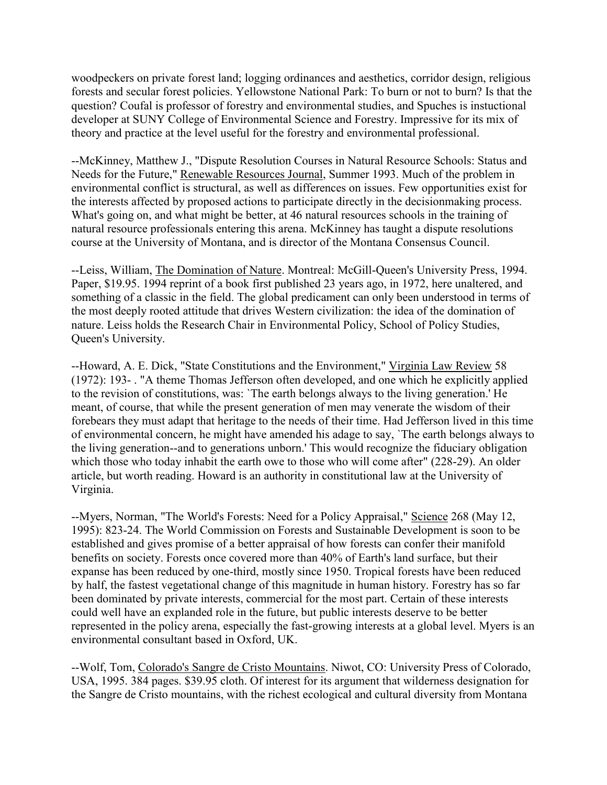woodpeckers on private forest land; logging ordinances and aesthetics, corridor design, religious forests and secular forest policies. Yellowstone National Park: To burn or not to burn? Is that the question? Coufal is professor of forestry and environmental studies, and Spuches is instuctional developer at SUNY College of Environmental Science and Forestry. Impressive for its mix of theory and practice at the level useful for the forestry and environmental professional.

--McKinney, Matthew J., "Dispute Resolution Courses in Natural Resource Schools: Status and Needs for the Future," Renewable Resources Journal, Summer 1993. Much of the problem in environmental conflict is structural, as well as differences on issues. Few opportunities exist for the interests affected by proposed actions to participate directly in the decisionmaking process. What's going on, and what might be better, at 46 natural resources schools in the training of natural resource professionals entering this arena. McKinney has taught a dispute resolutions course at the University of Montana, and is director of the Montana Consensus Council.

--Leiss, William, The Domination of Nature. Montreal: McGill-Queen's University Press, 1994. Paper, \$19.95. 1994 reprint of a book first published 23 years ago, in 1972, here unaltered, and something of a classic in the field. The global predicament can only been understood in terms of the most deeply rooted attitude that drives Western civilization: the idea of the domination of nature. Leiss holds the Research Chair in Environmental Policy, School of Policy Studies, Queen's University.

--Howard, A. E. Dick, "State Constitutions and the Environment," Virginia Law Review 58 (1972): 193- . "A theme Thomas Jefferson often developed, and one which he explicitly applied to the revision of constitutions, was: `The earth belongs always to the living generation.' He meant, of course, that while the present generation of men may venerate the wisdom of their forebears they must adapt that heritage to the needs of their time. Had Jefferson lived in this time of environmental concern, he might have amended his adage to say, `The earth belongs always to the living generation--and to generations unborn.' This would recognize the fiduciary obligation which those who today inhabit the earth owe to those who will come after" (228-29). An older article, but worth reading. Howard is an authority in constitutional law at the University of Virginia.

--Myers, Norman, "The World's Forests: Need for a Policy Appraisal," Science 268 (May 12, 1995): 823-24. The World Commission on Forests and Sustainable Development is soon to be established and gives promise of a better appraisal of how forests can confer their manifold benefits on society. Forests once covered more than 40% of Earth's land surface, but their expanse has been reduced by one-third, mostly since 1950. Tropical forests have been reduced by half, the fastest vegetational change of this magnitude in human history. Forestry has so far been dominated by private interests, commercial for the most part. Certain of these interests could well have an explanded role in the future, but public interests deserve to be better represented in the policy arena, especially the fast-growing interests at a global level. Myers is an environmental consultant based in Oxford, UK.

--Wolf, Tom, Colorado's Sangre de Cristo Mountains. Niwot, CO: University Press of Colorado, USA, 1995. 384 pages. \$39.95 cloth. Of interest for its argument that wilderness designation for the Sangre de Cristo mountains, with the richest ecological and cultural diversity from Montana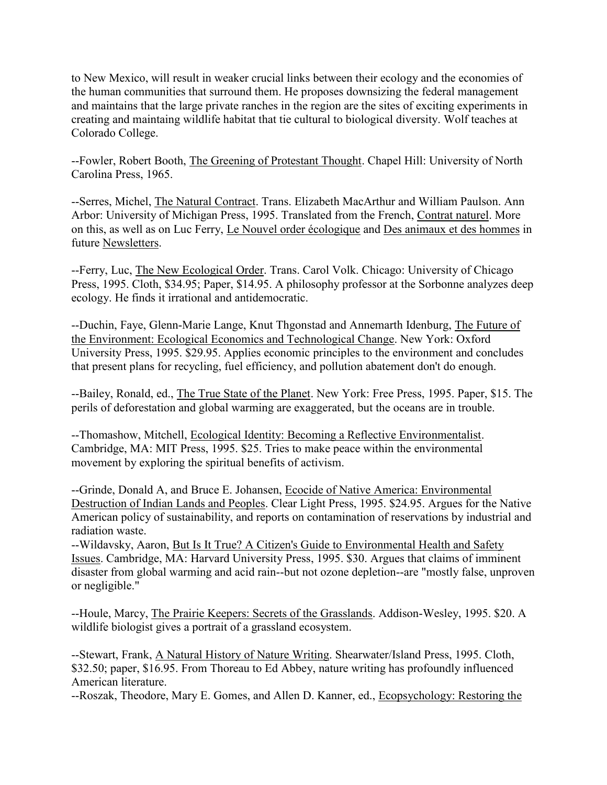to New Mexico, will result in weaker crucial links between their ecology and the economies of the human communities that surround them. He proposes downsizing the federal management and maintains that the large private ranches in the region are the sites of exciting experiments in creating and maintaing wildlife habitat that tie cultural to biological diversity. Wolf teaches at Colorado College.

--Fowler, Robert Booth, The Greening of Protestant Thought. Chapel Hill: University of North Carolina Press, 1965.

--Serres, Michel, The Natural Contract. Trans. Elizabeth MacArthur and William Paulson. Ann Arbor: University of Michigan Press, 1995. Translated from the French, Contrat naturel. More on this, as well as on Luc Ferry, Le Nouvel order écologique and Des animaux et des hommes in future Newsletters.

--Ferry, Luc, The New Ecological Order. Trans. Carol Volk. Chicago: University of Chicago Press, 1995. Cloth, \$34.95; Paper, \$14.95. A philosophy professor at the Sorbonne analyzes deep ecology. He finds it irrational and antidemocratic.

--Duchin, Faye, Glenn-Marie Lange, Knut Thgonstad and Annemarth Idenburg, The Future of the Environment: Ecological Economics and Technological Change. New York: Oxford University Press, 1995. \$29.95. Applies economic principles to the environment and concludes that present plans for recycling, fuel efficiency, and pollution abatement don't do enough.

--Bailey, Ronald, ed., The True State of the Planet. New York: Free Press, 1995. Paper, \$15. The perils of deforestation and global warming are exaggerated, but the oceans are in trouble.

--Thomashow, Mitchell, Ecological Identity: Becoming a Reflective Environmentalist. Cambridge, MA: MIT Press, 1995. \$25. Tries to make peace within the environmental movement by exploring the spiritual benefits of activism.

--Grinde, Donald A, and Bruce E. Johansen, Ecocide of Native America: Environmental Destruction of Indian Lands and Peoples. Clear Light Press, 1995. \$24.95. Argues for the Native American policy of sustainability, and reports on contamination of reservations by industrial and radiation waste.

--Wildavsky, Aaron, But Is It True? A Citizen's Guide to Environmental Health and Safety Issues. Cambridge, MA: Harvard University Press, 1995. \$30. Argues that claims of imminent disaster from global warming and acid rain--but not ozone depletion--are "mostly false, unproven or negligible."

--Houle, Marcy, The Prairie Keepers: Secrets of the Grasslands. Addison-Wesley, 1995. \$20. A wildlife biologist gives a portrait of a grassland ecosystem.

--Stewart, Frank, A Natural History of Nature Writing. Shearwater/Island Press, 1995. Cloth, \$32.50; paper, \$16.95. From Thoreau to Ed Abbey, nature writing has profoundly influenced American literature.

--Roszak, Theodore, Mary E. Gomes, and Allen D. Kanner, ed., Ecopsychology: Restoring the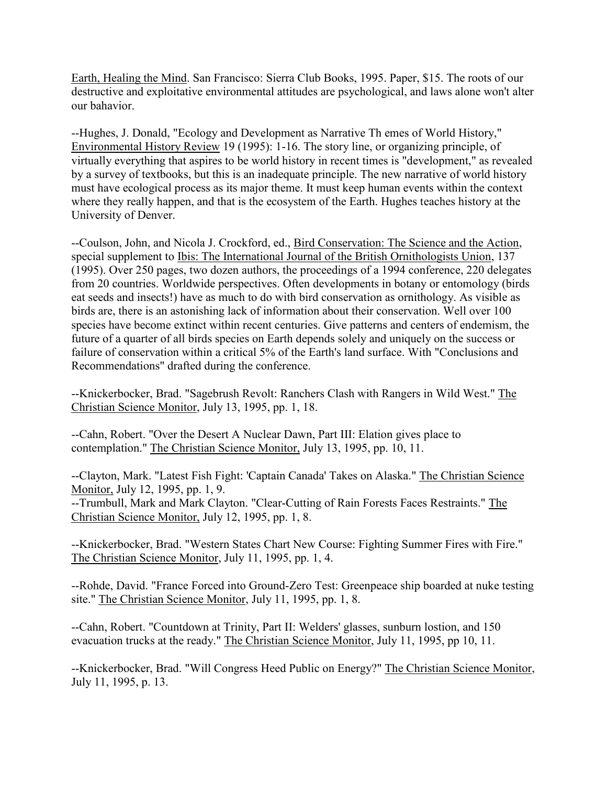Earth, Healing the Mind. San Francisco: Sierra Club Books, 1995. Paper, \$15. The roots of our destructive and exploitative environmental attitudes are psychological, and laws alone won't alter our bahavior.

--Hughes, J. Donald, "Ecology and Development as Narrative Th emes of World History," Environmental History Review 19 (1995): 1-16. The story line, or organizing principle, of virtually everything that aspires to be world history in recent times is "development," as revealed by a survey of textbooks, but this is an inadequate principle. The new narrative of world history must have ecological process as its major theme. It must keep human events within the context where they really happen, and that is the ecosystem of the Earth. Hughes teaches history at the University of Denver.

--Coulson, John, and Nicola J. Crockford, ed., Bird Conservation: The Science and the Action, special supplement to Ibis: The International Journal of the British Ornithologists Union, 137 (1995). Over 250 pages, two dozen authors, the proceedings of a 1994 conference, 220 delegates from 20 countries. Worldwide perspectives. Often developments in botany or entomology (birds eat seeds and insects!) have as much to do with bird conservation as ornithology. As visible as birds are, there is an astonishing lack of information about their conservation. Well over 100 species have become extinct within recent centuries. Give patterns and centers of endemism, the future of a quarter of all birds species on Earth depends solely and uniquely on the success or failure of conservation within a critical 5% of the Earth's land surface. With "Conclusions and Recommendations" drafted during the conference.

--Knickerbocker, Brad. "Sagebrush Revolt: Ranchers Clash with Rangers in Wild West." The Christian Science Monitor, July 13, 1995, pp. 1, 18.

--Cahn, Robert. "Over the Desert A Nuclear Dawn, Part III: Elation gives place to contemplation." The Christian Science Monitor, July 13, 1995, pp. 10, 11.

--Clayton, Mark. "Latest Fish Fight: 'Captain Canada' Takes on Alaska." The Christian Science Monitor, July 12, 1995, pp. 1, 9.

--Trumbull, Mark and Mark Clayton. "Clear-Cutting of Rain Forests Faces Restraints." The Christian Science Monitor, July 12, 1995, pp. 1, 8.

--Knickerbocker, Brad. "Western States Chart New Course: Fighting Summer Fires with Fire." The Christian Science Monitor, July 11, 1995, pp. 1, 4.

--Rohde, David. "France Forced into Ground-Zero Test: Greenpeace ship boarded at nuke testing site." The Christian Science Monitor, July 11, 1995, pp. 1, 8.

--Cahn, Robert. "Countdown at Trinity, Part II: Welders' glasses, sunburn lostion, and 150 evacuation trucks at the ready." The Christian Science Monitor, July 11, 1995, pp 10, 11.

--Knickerbocker, Brad. "Will Congress Heed Public on Energy?" The Christian Science Monitor, July 11, 1995, p. 13.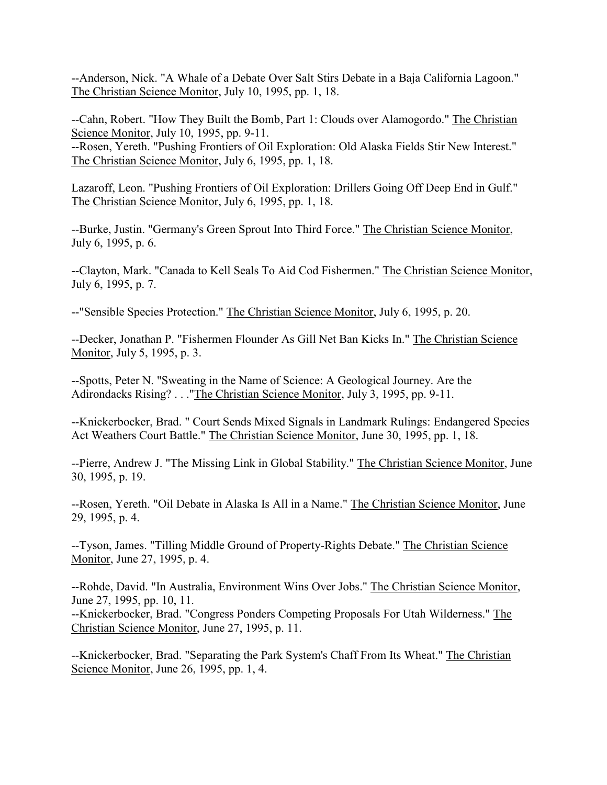--Anderson, Nick. "A Whale of a Debate Over Salt Stirs Debate in a Baja California Lagoon." The Christian Science Monitor, July 10, 1995, pp. 1, 18.

--Cahn, Robert. "How They Built the Bomb, Part 1: Clouds over Alamogordo." The Christian Science Monitor, July 10, 1995, pp. 9-11.

--Rosen, Yereth. "Pushing Frontiers of Oil Exploration: Old Alaska Fields Stir New Interest." The Christian Science Monitor, July 6, 1995, pp. 1, 18.

Lazaroff, Leon. "Pushing Frontiers of Oil Exploration: Drillers Going Off Deep End in Gulf." The Christian Science Monitor, July 6, 1995, pp. 1, 18.

--Burke, Justin. "Germany's Green Sprout Into Third Force." The Christian Science Monitor, July 6, 1995, p. 6.

--Clayton, Mark. "Canada to Kell Seals To Aid Cod Fishermen." The Christian Science Monitor, July 6, 1995, p. 7.

--"Sensible Species Protection." The Christian Science Monitor, July 6, 1995, p. 20.

--Decker, Jonathan P. "Fishermen Flounder As Gill Net Ban Kicks In." The Christian Science Monitor, July 5, 1995, p. 3.

--Spotts, Peter N. "Sweating in the Name of Science: A Geological Journey. Are the Adirondacks Rising? . . ."The Christian Science Monitor, July 3, 1995, pp. 9-11.

--Knickerbocker, Brad. " Court Sends Mixed Signals in Landmark Rulings: Endangered Species Act Weathers Court Battle." The Christian Science Monitor, June 30, 1995, pp. 1, 18.

--Pierre, Andrew J. "The Missing Link in Global Stability." The Christian Science Monitor, June 30, 1995, p. 19.

--Rosen, Yereth. "Oil Debate in Alaska Is All in a Name." The Christian Science Monitor, June 29, 1995, p. 4.

--Tyson, James. "Tilling Middle Ground of Property-Rights Debate." The Christian Science Monitor, June 27, 1995, p. 4.

--Rohde, David. "In Australia, Environment Wins Over Jobs." The Christian Science Monitor, June 27, 1995, pp. 10, 11. --Knickerbocker, Brad. "Congress Ponders Competing Proposals For Utah Wilderness." The

Christian Science Monitor, June 27, 1995, p. 11.

--Knickerbocker, Brad. "Separating the Park System's Chaff From Its Wheat." The Christian Science Monitor, June 26, 1995, pp. 1, 4.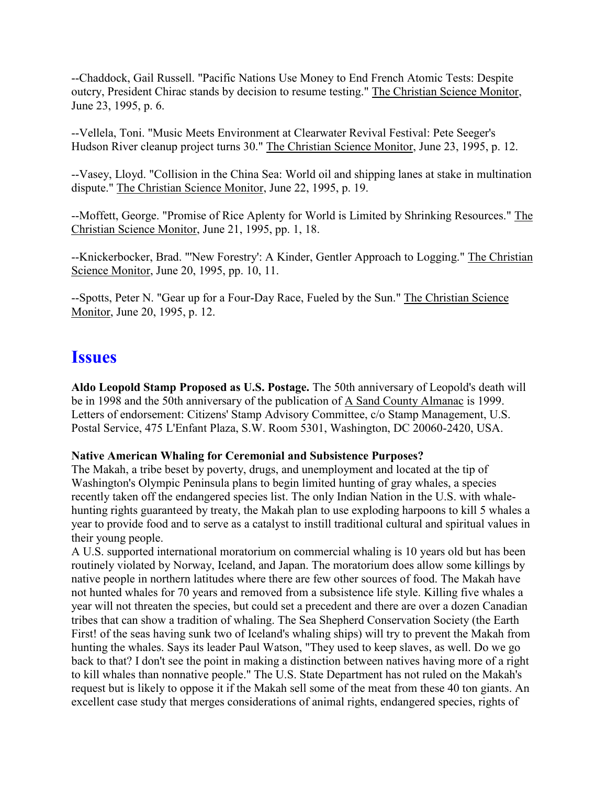--Chaddock, Gail Russell. "Pacific Nations Use Money to End French Atomic Tests: Despite outcry, President Chirac stands by decision to resume testing." The Christian Science Monitor, June 23, 1995, p. 6.

--Vellela, Toni. "Music Meets Environment at Clearwater Revival Festival: Pete Seeger's Hudson River cleanup project turns 30." The Christian Science Monitor, June 23, 1995, p. 12.

--Vasey, Lloyd. "Collision in the China Sea: World oil and shipping lanes at stake in multination dispute." The Christian Science Monitor, June 22, 1995, p. 19.

--Moffett, George. "Promise of Rice Aplenty for World is Limited by Shrinking Resources." The Christian Science Monitor, June 21, 1995, pp. 1, 18.

--Knickerbocker, Brad. "'New Forestry': A Kinder, Gentler Approach to Logging." The Christian Science Monitor, June 20, 1995, pp. 10, 11.

--Spotts, Peter N. "Gear up for a Four-Day Race, Fueled by the Sun." The Christian Science Monitor, June 20, 1995, p. 12.

## **Issues**

**Aldo Leopold Stamp Proposed as U.S. Postage.** The 50th anniversary of Leopold's death will be in 1998 and the 50th anniversary of the publication of A Sand County Almanac is 1999. Letters of endorsement: Citizens' Stamp Advisory Committee, c/o Stamp Management, U.S. Postal Service, 475 L'Enfant Plaza, S.W. Room 5301, Washington, DC 20060-2420, USA.

#### **Native American Whaling for Ceremonial and Subsistence Purposes?**

The Makah, a tribe beset by poverty, drugs, and unemployment and located at the tip of Washington's Olympic Peninsula plans to begin limited hunting of gray whales, a species recently taken off the endangered species list. The only Indian Nation in the U.S. with whalehunting rights guaranteed by treaty, the Makah plan to use exploding harpoons to kill 5 whales a year to provide food and to serve as a catalyst to instill traditional cultural and spiritual values in their young people.

A U.S. supported international moratorium on commercial whaling is 10 years old but has been routinely violated by Norway, Iceland, and Japan. The moratorium does allow some killings by native people in northern latitudes where there are few other sources of food. The Makah have not hunted whales for 70 years and removed from a subsistence life style. Killing five whales a year will not threaten the species, but could set a precedent and there are over a dozen Canadian tribes that can show a tradition of whaling. The Sea Shepherd Conservation Society (the Earth First! of the seas having sunk two of Iceland's whaling ships) will try to prevent the Makah from hunting the whales. Says its leader Paul Watson, "They used to keep slaves, as well. Do we go back to that? I don't see the point in making a distinction between natives having more of a right to kill whales than nonnative people." The U.S. State Department has not ruled on the Makah's request but is likely to oppose it if the Makah sell some of the meat from these 40 ton giants. An excellent case study that merges considerations of animal rights, endangered species, rights of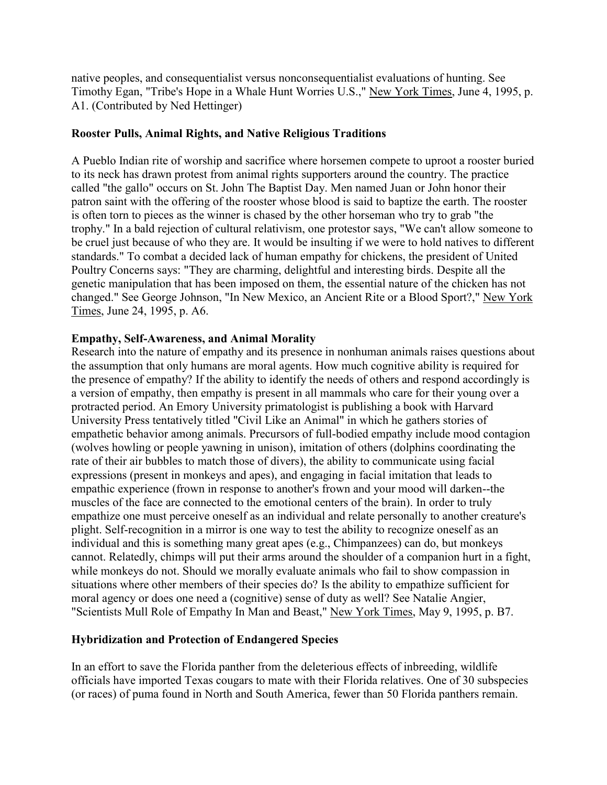native peoples, and consequentialist versus nonconsequentialist evaluations of hunting. See Timothy Egan, "Tribe's Hope in a Whale Hunt Worries U.S.," New York Times, June 4, 1995, p. A1. (Contributed by Ned Hettinger)

#### **Rooster Pulls, Animal Rights, and Native Religious Traditions**

A Pueblo Indian rite of worship and sacrifice where horsemen compete to uproot a rooster buried to its neck has drawn protest from animal rights supporters around the country. The practice called "the gallo" occurs on St. John The Baptist Day. Men named Juan or John honor their patron saint with the offering of the rooster whose blood is said to baptize the earth. The rooster is often torn to pieces as the winner is chased by the other horseman who try to grab "the trophy." In a bald rejection of cultural relativism, one protestor says, "We can't allow someone to be cruel just because of who they are. It would be insulting if we were to hold natives to different standards." To combat a decided lack of human empathy for chickens, the president of United Poultry Concerns says: "They are charming, delightful and interesting birds. Despite all the genetic manipulation that has been imposed on them, the essential nature of the chicken has not changed." See George Johnson, "In New Mexico, an Ancient Rite or a Blood Sport?," New York Times, June 24, 1995, p. A6.

#### **Empathy, Self-Awareness, and Animal Morality**

Research into the nature of empathy and its presence in nonhuman animals raises questions about the assumption that only humans are moral agents. How much cognitive ability is required for the presence of empathy? If the ability to identify the needs of others and respond accordingly is a version of empathy, then empathy is present in all mammals who care for their young over a protracted period. An Emory University primatologist is publishing a book with Harvard University Press tentatively titled "Civil Like an Animal" in which he gathers stories of empathetic behavior among animals. Precursors of full-bodied empathy include mood contagion (wolves howling or people yawning in unison), imitation of others (dolphins coordinating the rate of their air bubbles to match those of divers), the ability to communicate using facial expressions (present in monkeys and apes), and engaging in facial imitation that leads to empathic experience (frown in response to another's frown and your mood will darken--the muscles of the face are connected to the emotional centers of the brain). In order to truly empathize one must perceive oneself as an individual and relate personally to another creature's plight. Self-recognition in a mirror is one way to test the ability to recognize oneself as an individual and this is something many great apes (e.g., Chimpanzees) can do, but monkeys cannot. Relatedly, chimps will put their arms around the shoulder of a companion hurt in a fight, while monkeys do not. Should we morally evaluate animals who fail to show compassion in situations where other members of their species do? Is the ability to empathize sufficient for moral agency or does one need a (cognitive) sense of duty as well? See Natalie Angier, "Scientists Mull Role of Empathy In Man and Beast," New York Times, May 9, 1995, p. B7.

#### **Hybridization and Protection of Endangered Species**

In an effort to save the Florida panther from the deleterious effects of inbreeding, wildlife officials have imported Texas cougars to mate with their Florida relatives. One of 30 subspecies (or races) of puma found in North and South America, fewer than 50 Florida panthers remain.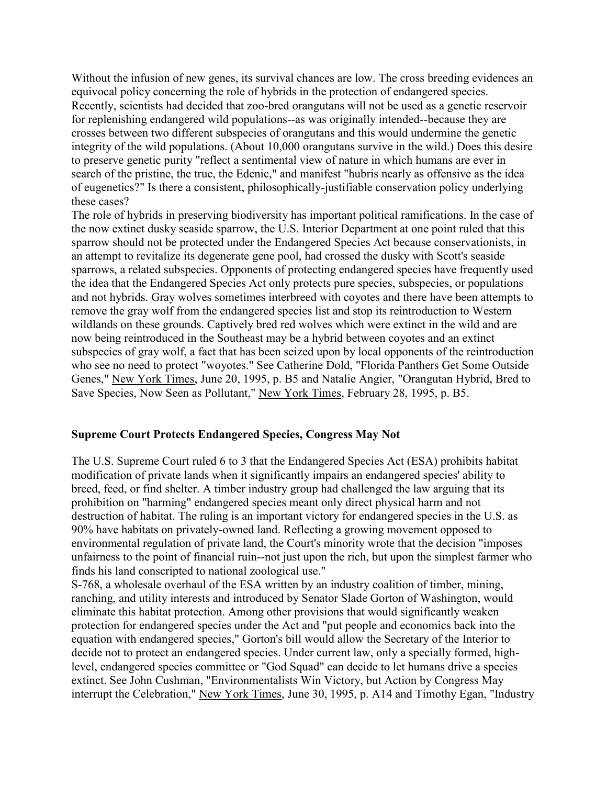Without the infusion of new genes, its survival chances are low. The cross breeding evidences an equivocal policy concerning the role of hybrids in the protection of endangered species. Recently, scientists had decided that zoo-bred orangutans will not be used as a genetic reservoir for replenishing endangered wild populations--as was originally intended--because they are crosses between two different subspecies of orangutans and this would undermine the genetic integrity of the wild populations. (About 10,000 orangutans survive in the wild.) Does this desire to preserve genetic purity "reflect a sentimental view of nature in which humans are ever in search of the pristine, the true, the Edenic," and manifest "hubris nearly as offensive as the idea of eugenetics?" Is there a consistent, philosophically-justifiable conservation policy underlying these cases?

The role of hybrids in preserving biodiversity has important political ramifications. In the case of the now extinct dusky seaside sparrow, the U.S. Interior Department at one point ruled that this sparrow should not be protected under the Endangered Species Act because conservationists, in an attempt to revitalize its degenerate gene pool, had crossed the dusky with Scott's seaside sparrows, a related subspecies. Opponents of protecting endangered species have frequently used the idea that the Endangered Species Act only protects pure species, subspecies, or populations and not hybrids. Gray wolves sometimes interbreed with coyotes and there have been attempts to remove the gray wolf from the endangered species list and stop its reintroduction to Western wildlands on these grounds. Captively bred red wolves which were extinct in the wild and are now being reintroduced in the Southeast may be a hybrid between coyotes and an extinct subspecies of gray wolf, a fact that has been seized upon by local opponents of the reintroduction who see no need to protect "woyotes." See Catherine Dold, "Florida Panthers Get Some Outside Genes," New York Times, June 20, 1995, p. B5 and Natalie Angier, "Orangutan Hybrid, Bred to Save Species, Now Seen as Pollutant," New York Times, February 28, 1995, p. B5.

#### **Supreme Court Protects Endangered Species, Congress May Not**

The U.S. Supreme Court ruled 6 to 3 that the Endangered Species Act (ESA) prohibits habitat modification of private lands when it significantly impairs an endangered species' ability to breed, feed, or find shelter. A timber industry group had challenged the law arguing that its prohibition on "harming" endangered species meant only direct physical harm and not destruction of habitat. The ruling is an important victory for endangered species in the U.S. as 90% have habitats on privately-owned land. Reflecting a growing movement opposed to environmental regulation of private land, the Court's minority wrote that the decision "imposes unfairness to the point of financial ruin--not just upon the rich, but upon the simplest farmer who finds his land conscripted to national zoological use."

S-768, a wholesale overhaul of the ESA written by an industry coalition of timber, mining, ranching, and utility interests and introduced by Senator Slade Gorton of Washington, would eliminate this habitat protection. Among other provisions that would significantly weaken protection for endangered species under the Act and "put people and economics back into the equation with endangered species," Gorton's bill would allow the Secretary of the Interior to decide not to protect an endangered species. Under current law, only a specially formed, highlevel, endangered species committee or "God Squad" can decide to let humans drive a species extinct. See John Cushman, "Environmentalists Win Victory, but Action by Congress May interrupt the Celebration," New York Times, June 30, 1995, p. A14 and Timothy Egan, "Industry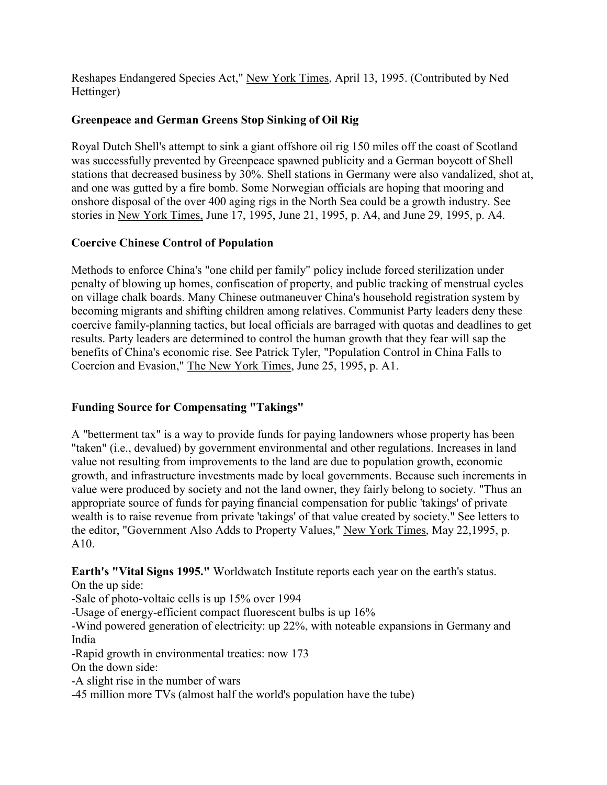Reshapes Endangered Species Act," New York Times, April 13, 1995. (Contributed by Ned Hettinger)

### **Greenpeace and German Greens Stop Sinking of Oil Rig**

Royal Dutch Shell's attempt to sink a giant offshore oil rig 150 miles off the coast of Scotland was successfully prevented by Greenpeace spawned publicity and a German boycott of Shell stations that decreased business by 30%. Shell stations in Germany were also vandalized, shot at, and one was gutted by a fire bomb. Some Norwegian officials are hoping that mooring and onshore disposal of the over 400 aging rigs in the North Sea could be a growth industry. See stories in New York Times, June 17, 1995, June 21, 1995, p. A4, and June 29, 1995, p. A4.

### **Coercive Chinese Control of Population**

Methods to enforce China's "one child per family" policy include forced sterilization under penalty of blowing up homes, confiscation of property, and public tracking of menstrual cycles on village chalk boards. Many Chinese outmaneuver China's household registration system by becoming migrants and shifting children among relatives. Communist Party leaders deny these coercive family-planning tactics, but local officials are barraged with quotas and deadlines to get results. Party leaders are determined to control the human growth that they fear will sap the benefits of China's economic rise. See Patrick Tyler, "Population Control in China Falls to Coercion and Evasion," The New York Times, June 25, 1995, p. A1.

### **Funding Source for Compensating "Takings"**

A "betterment tax" is a way to provide funds for paying landowners whose property has been "taken" (i.e., devalued) by government environmental and other regulations. Increases in land value not resulting from improvements to the land are due to population growth, economic growth, and infrastructure investments made by local governments. Because such increments in value were produced by society and not the land owner, they fairly belong to society. "Thus an appropriate source of funds for paying financial compensation for public 'takings' of private wealth is to raise revenue from private 'takings' of that value created by society." See letters to the editor, "Government Also Adds to Property Values," New York Times, May 22,1995, p. A10.

**Earth's "Vital Signs 1995."** Worldwatch Institute reports each year on the earth's status. On the up side:

-Sale of photo-voltaic cells is up 15% over 1994

-Usage of energy-efficient compact fluorescent bulbs is up 16%

-Wind powered generation of electricity: up 22%, with noteable expansions in Germany and India

-Rapid growth in environmental treaties: now 173

On the down side:

-A slight rise in the number of wars

-45 million more TVs (almost half the world's population have the tube)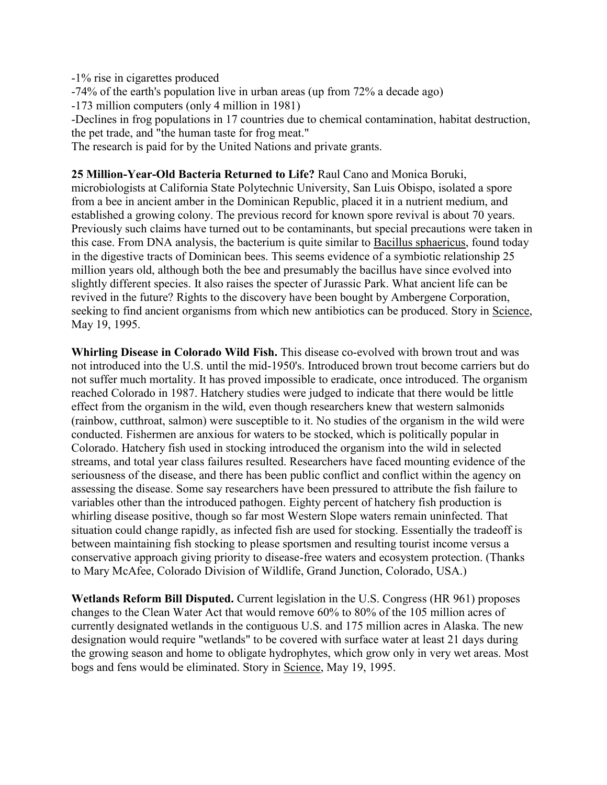-1% rise in cigarettes produced

-74% of the earth's population live in urban areas (up from 72% a decade ago)

-173 million computers (only 4 million in 1981)

-Declines in frog populations in 17 countries due to chemical contamination, habitat destruction, the pet trade, and "the human taste for frog meat."

The research is paid for by the United Nations and private grants.

#### **25 Million-Year-Old Bacteria Returned to Life?** Raul Cano and Monica Boruki,

microbiologists at California State Polytechnic University, San Luis Obispo, isolated a spore from a bee in ancient amber in the Dominican Republic, placed it in a nutrient medium, and established a growing colony. The previous record for known spore revival is about 70 years. Previously such claims have turned out to be contaminants, but special precautions were taken in this case. From DNA analysis, the bacterium is quite similar to Bacillus sphaericus, found today in the digestive tracts of Dominican bees. This seems evidence of a symbiotic relationship 25 million years old, although both the bee and presumably the bacillus have since evolved into slightly different species. It also raises the specter of Jurassic Park. What ancient life can be revived in the future? Rights to the discovery have been bought by Ambergene Corporation, seeking to find ancient organisms from which new antibiotics can be produced. Story in Science, May 19, 1995.

**Whirling Disease in Colorado Wild Fish.** This disease co-evolved with brown trout and was not introduced into the U.S. until the mid-1950's. Introduced brown trout become carriers but do not suffer much mortality. It has proved impossible to eradicate, once introduced. The organism reached Colorado in 1987. Hatchery studies were judged to indicate that there would be little effect from the organism in the wild, even though researchers knew that western salmonids (rainbow, cutthroat, salmon) were susceptible to it. No studies of the organism in the wild were conducted. Fishermen are anxious for waters to be stocked, which is politically popular in Colorado. Hatchery fish used in stocking introduced the organism into the wild in selected streams, and total year class failures resulted. Researchers have faced mounting evidence of the seriousness of the disease, and there has been public conflict and conflict within the agency on assessing the disease. Some say researchers have been pressured to attribute the fish failure to variables other than the introduced pathogen. Eighty percent of hatchery fish production is whirling disease positive, though so far most Western Slope waters remain uninfected. That situation could change rapidly, as infected fish are used for stocking. Essentially the tradeoff is between maintaining fish stocking to please sportsmen and resulting tourist income versus a conservative approach giving priority to disease-free waters and ecosystem protection. (Thanks to Mary McAfee, Colorado Division of Wildlife, Grand Junction, Colorado, USA.)

**Wetlands Reform Bill Disputed.** Current legislation in the U.S. Congress (HR 961) proposes changes to the Clean Water Act that would remove 60% to 80% of the 105 million acres of currently designated wetlands in the contiguous U.S. and 175 million acres in Alaska. The new designation would require "wetlands" to be covered with surface water at least 21 days during the growing season and home to obligate hydrophytes, which grow only in very wet areas. Most bogs and fens would be eliminated. Story in Science, May 19, 1995.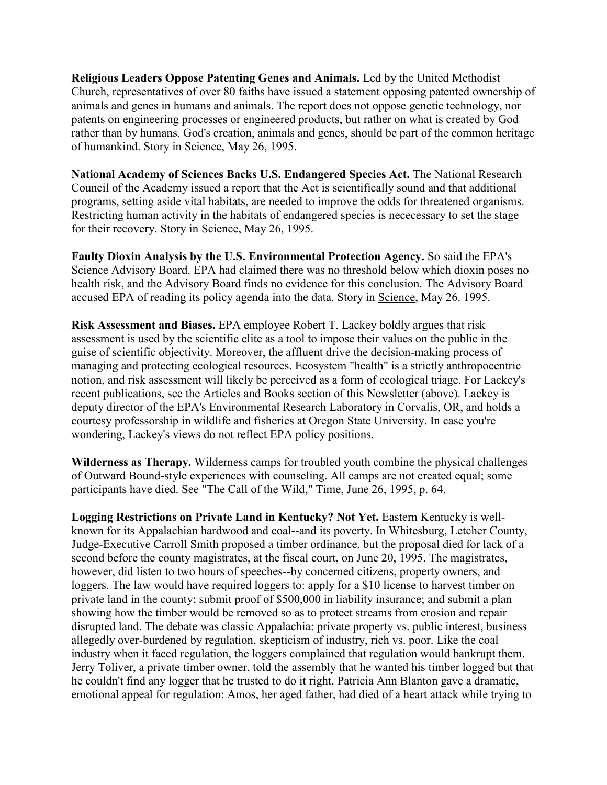**Religious Leaders Oppose Patenting Genes and Animals.** Led by the United Methodist Church, representatives of over 80 faiths have issued a statement opposing patented ownership of animals and genes in humans and animals. The report does not oppose genetic technology, nor patents on engineering processes or engineered products, but rather on what is created by God rather than by humans. God's creation, animals and genes, should be part of the common heritage of humankind. Story in Science, May 26, 1995.

**National Academy of Sciences Backs U.S. Endangered Species Act.** The National Research Council of the Academy issued a report that the Act is scientifically sound and that additional programs, setting aside vital habitats, are needed to improve the odds for threatened organisms. Restricting human activity in the habitats of endangered species is nececessary to set the stage for their recovery. Story in Science, May 26, 1995.

**Faulty Dioxin Analysis by the U.S. Environmental Protection Agency.** So said the EPA's Science Advisory Board. EPA had claimed there was no threshold below which dioxin poses no health risk, and the Advisory Board finds no evidence for this conclusion. The Advisory Board accused EPA of reading its policy agenda into the data. Story in Science, May 26. 1995.

**Risk Assessment and Biases.** EPA employee Robert T. Lackey boldly argues that risk assessment is used by the scientific elite as a tool to impose their values on the public in the guise of scientific objectivity. Moreover, the affluent drive the decision-making process of managing and protecting ecological resources. Ecosystem "health" is a strictly anthropocentric notion, and risk assessment will likely be perceived as a form of ecological triage. For Lackey's recent publications, see the Articles and Books section of this Newsletter (above). Lackey is deputy director of the EPA's Environmental Research Laboratory in Corvalis, OR, and holds a courtesy professorship in wildlife and fisheries at Oregon State University. In case you're wondering, Lackey's views do not reflect EPA policy positions.

**Wilderness as Therapy.** Wilderness camps for troubled youth combine the physical challenges of Outward Bound-style experiences with counseling. All camps are not created equal; some participants have died. See "The Call of the Wild," Time, June 26, 1995, p. 64.

**Logging Restrictions on Private Land in Kentucky? Not Yet.** Eastern Kentucky is wellknown for its Appalachian hardwood and coal--and its poverty. In Whitesburg, Letcher County, Judge-Executive Carroll Smith proposed a timber ordinance, but the proposal died for lack of a second before the county magistrates, at the fiscal court, on June 20, 1995. The magistrates, however, did listen to two hours of speeches--by concerned citizens, property owners, and loggers. The law would have required loggers to: apply for a \$10 license to harvest timber on private land in the county; submit proof of \$500,000 in liability insurance; and submit a plan showing how the timber would be removed so as to protect streams from erosion and repair disrupted land. The debate was classic Appalachia: private property vs. public interest, business allegedly over-burdened by regulation, skepticism of industry, rich vs. poor. Like the coal industry when it faced regulation, the loggers complained that regulation would bankrupt them. Jerry Toliver, a private timber owner, told the assembly that he wanted his timber logged but that he couldn't find any logger that he trusted to do it right. Patricia Ann Blanton gave a dramatic, emotional appeal for regulation: Amos, her aged father, had died of a heart attack while trying to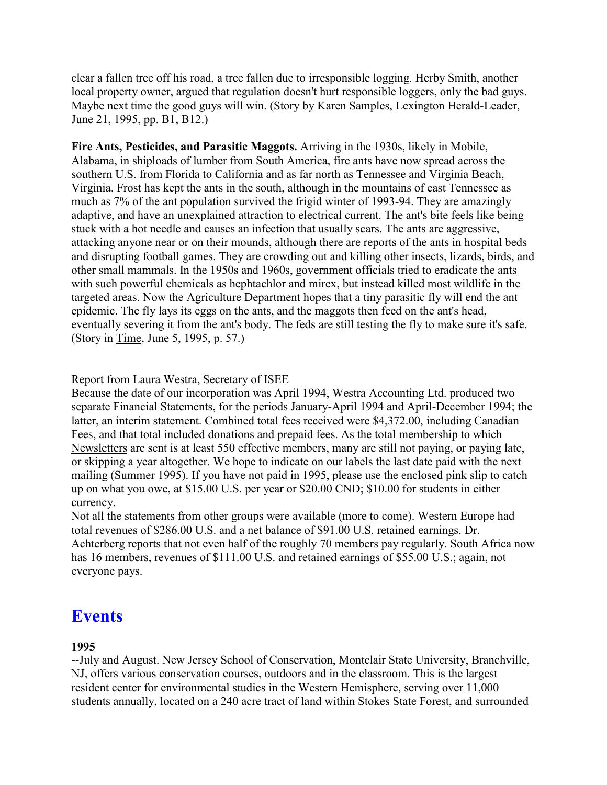clear a fallen tree off his road, a tree fallen due to irresponsible logging. Herby Smith, another local property owner, argued that regulation doesn't hurt responsible loggers, only the bad guys. Maybe next time the good guys will win. (Story by Karen Samples, Lexington Herald-Leader, June 21, 1995, pp. B1, B12.)

**Fire Ants, Pesticides, and Parasitic Maggots.** Arriving in the 1930s, likely in Mobile, Alabama, in shiploads of lumber from South America, fire ants have now spread across the southern U.S. from Florida to California and as far north as Tennessee and Virginia Beach, Virginia. Frost has kept the ants in the south, although in the mountains of east Tennessee as much as 7% of the ant population survived the frigid winter of 1993-94. They are amazingly adaptive, and have an unexplained attraction to electrical current. The ant's bite feels like being stuck with a hot needle and causes an infection that usually scars. The ants are aggressive, attacking anyone near or on their mounds, although there are reports of the ants in hospital beds and disrupting football games. They are crowding out and killing other insects, lizards, birds, and other small mammals. In the 1950s and 1960s, government officials tried to eradicate the ants with such powerful chemicals as hephtachlor and mirex, but instead killed most wildlife in the targeted areas. Now the Agriculture Department hopes that a tiny parasitic fly will end the ant epidemic. The fly lays its eggs on the ants, and the maggots then feed on the ant's head, eventually severing it from the ant's body. The feds are still testing the fly to make sure it's safe. (Story in Time, June 5, 1995, p. 57.)

Report from Laura Westra, Secretary of ISEE

Because the date of our incorporation was April 1994, Westra Accounting Ltd. produced two separate Financial Statements, for the periods January-April 1994 and April-December 1994; the latter, an interim statement. Combined total fees received were \$4,372.00, including Canadian Fees, and that total included donations and prepaid fees. As the total membership to which Newsletters are sent is at least 550 effective members, many are still not paying, or paying late, or skipping a year altogether. We hope to indicate on our labels the last date paid with the next mailing (Summer 1995). If you have not paid in 1995, please use the enclosed pink slip to catch up on what you owe, at \$15.00 U.S. per year or \$20.00 CND; \$10.00 for students in either currency.

Not all the statements from other groups were available (more to come). Western Europe had total revenues of \$286.00 U.S. and a net balance of \$91.00 U.S. retained earnings. Dr. Achterberg reports that not even half of the roughly 70 members pay regularly. South Africa now has 16 members, revenues of \$111.00 U.S. and retained earnings of \$55.00 U.S.; again, not everyone pays.

# **Events**

### **1995**

--July and August. New Jersey School of Conservation, Montclair State University, Branchville, NJ, offers various conservation courses, outdoors and in the classroom. This is the largest resident center for environmental studies in the Western Hemisphere, serving over 11,000 students annually, located on a 240 acre tract of land within Stokes State Forest, and surrounded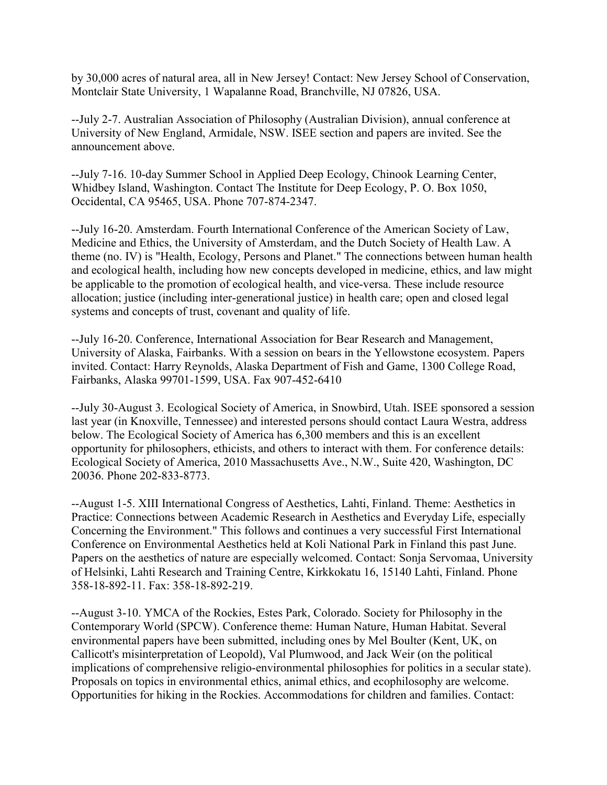by 30,000 acres of natural area, all in New Jersey! Contact: New Jersey School of Conservation, Montclair State University, 1 Wapalanne Road, Branchville, NJ 07826, USA.

--July 2-7. Australian Association of Philosophy (Australian Division), annual conference at University of New England, Armidale, NSW. ISEE section and papers are invited. See the announcement above.

--July 7-16. 10-day Summer School in Applied Deep Ecology, Chinook Learning Center, Whidbey Island, Washington. Contact The Institute for Deep Ecology, P. O. Box 1050, Occidental, CA 95465, USA. Phone 707-874-2347.

--July 16-20. Amsterdam. Fourth International Conference of the American Society of Law, Medicine and Ethics, the University of Amsterdam, and the Dutch Society of Health Law. A theme (no. IV) is "Health, Ecology, Persons and Planet." The connections between human health and ecological health, including how new concepts developed in medicine, ethics, and law might be applicable to the promotion of ecological health, and vice-versa. These include resource allocation; justice (including inter-generational justice) in health care; open and closed legal systems and concepts of trust, covenant and quality of life.

--July 16-20. Conference, International Association for Bear Research and Management, University of Alaska, Fairbanks. With a session on bears in the Yellowstone ecosystem. Papers invited. Contact: Harry Reynolds, Alaska Department of Fish and Game, 1300 College Road, Fairbanks, Alaska 99701-1599, USA. Fax 907-452-6410

--July 30-August 3. Ecological Society of America, in Snowbird, Utah. ISEE sponsored a session last year (in Knoxville, Tennessee) and interested persons should contact Laura Westra, address below. The Ecological Society of America has 6,300 members and this is an excellent opportunity for philosophers, ethicists, and others to interact with them. For conference details: Ecological Society of America, 2010 Massachusetts Ave., N.W., Suite 420, Washington, DC 20036. Phone 202-833-8773.

--August 1-5. XIII International Congress of Aesthetics, Lahti, Finland. Theme: Aesthetics in Practice: Connections between Academic Research in Aesthetics and Everyday Life, especially Concerning the Environment." This follows and continues a very successful First International Conference on Environmental Aesthetics held at Koli National Park in Finland this past June. Papers on the aesthetics of nature are especially welcomed. Contact: Sonja Servomaa, University of Helsinki, Lahti Research and Training Centre, Kirkkokatu 16, 15140 Lahti, Finland. Phone 358-18-892-11. Fax: 358-18-892-219.

--August 3-10. YMCA of the Rockies, Estes Park, Colorado. Society for Philosophy in the Contemporary World (SPCW). Conference theme: Human Nature, Human Habitat. Several environmental papers have been submitted, including ones by Mel Boulter (Kent, UK, on Callicott's misinterpretation of Leopold), Val Plumwood, and Jack Weir (on the political implications of comprehensive religio-environmental philosophies for politics in a secular state). Proposals on topics in environmental ethics, animal ethics, and ecophilosophy are welcome. Opportunities for hiking in the Rockies. Accommodations for children and families. Contact: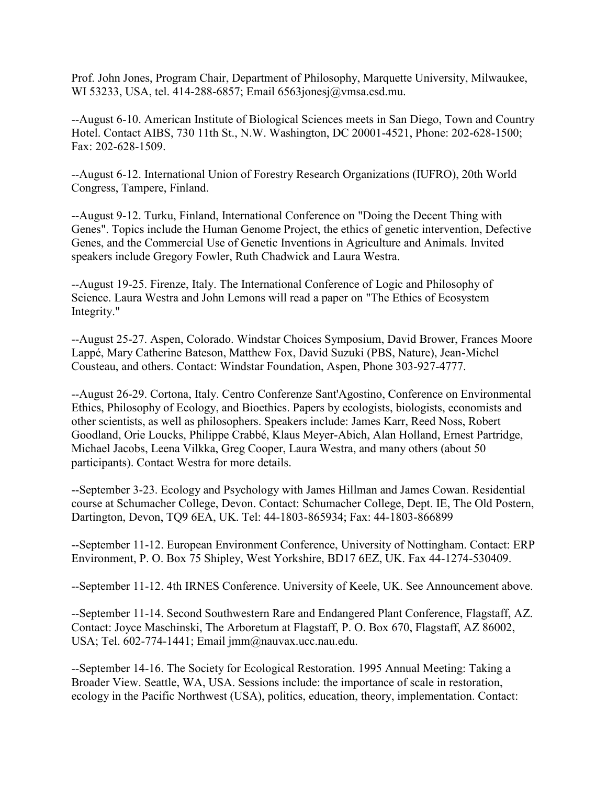Prof. John Jones, Program Chair, Department of Philosophy, Marquette University, Milwaukee, WI 53233, USA, tel. 414-288-6857; Email 6563jonesj@vmsa.csd.mu.

--August 6-10. American Institute of Biological Sciences meets in San Diego, Town and Country Hotel. Contact AIBS, 730 11th St., N.W. Washington, DC 20001-4521, Phone: 202-628-1500; Fax: 202-628-1509.

--August 6-12. International Union of Forestry Research Organizations (IUFRO), 20th World Congress, Tampere, Finland.

--August 9-12. Turku, Finland, International Conference on "Doing the Decent Thing with Genes". Topics include the Human Genome Project, the ethics of genetic intervention, Defective Genes, and the Commercial Use of Genetic Inventions in Agriculture and Animals. Invited speakers include Gregory Fowler, Ruth Chadwick and Laura Westra.

--August 19-25. Firenze, Italy. The International Conference of Logic and Philosophy of Science. Laura Westra and John Lemons will read a paper on "The Ethics of Ecosystem Integrity."

--August 25-27. Aspen, Colorado. Windstar Choices Symposium, David Brower, Frances Moore Lappé, Mary Catherine Bateson, Matthew Fox, David Suzuki (PBS, Nature), Jean-Michel Cousteau, and others. Contact: Windstar Foundation, Aspen, Phone 303-927-4777.

--August 26-29. Cortona, Italy. Centro Conferenze Sant'Agostino, Conference on Environmental Ethics, Philosophy of Ecology, and Bioethics. Papers by ecologists, biologists, economists and other scientists, as well as philosophers. Speakers include: James Karr, Reed Noss, Robert Goodland, Orie Loucks, Philippe Crabbé, Klaus Meyer-Abich, Alan Holland, Ernest Partridge, Michael Jacobs, Leena Vilkka, Greg Cooper, Laura Westra, and many others (about 50 participants). Contact Westra for more details.

--September 3-23. Ecology and Psychology with James Hillman and James Cowan. Residential course at Schumacher College, Devon. Contact: Schumacher College, Dept. IE, The Old Postern, Dartington, Devon, TQ9 6EA, UK. Tel: 44-1803-865934; Fax: 44-1803-866899

--September 11-12. European Environment Conference, University of Nottingham. Contact: ERP Environment, P. O. Box 75 Shipley, West Yorkshire, BD17 6EZ, UK. Fax 44-1274-530409.

--September 11-12. 4th IRNES Conference. University of Keele, UK. See Announcement above.

--September 11-14. Second Southwestern Rare and Endangered Plant Conference, Flagstaff, AZ. Contact: Joyce Maschinski, The Arboretum at Flagstaff, P. O. Box 670, Flagstaff, AZ 86002, USA; Tel. 602-774-1441; Email jmm@nauvax.ucc.nau.edu.

--September 14-16. The Society for Ecological Restoration. 1995 Annual Meeting: Taking a Broader View. Seattle, WA, USA. Sessions include: the importance of scale in restoration, ecology in the Pacific Northwest (USA), politics, education, theory, implementation. Contact: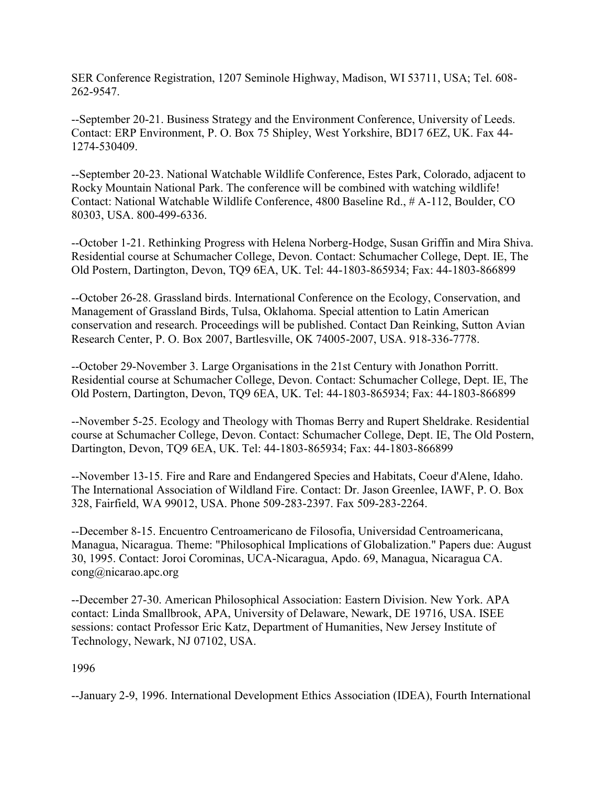SER Conference Registration, 1207 Seminole Highway, Madison, WI 53711, USA; Tel. 608- 262-9547.

--September 20-21. Business Strategy and the Environment Conference, University of Leeds. Contact: ERP Environment, P. O. Box 75 Shipley, West Yorkshire, BD17 6EZ, UK. Fax 44- 1274-530409.

--September 20-23. National Watchable Wildlife Conference, Estes Park, Colorado, adjacent to Rocky Mountain National Park. The conference will be combined with watching wildlife! Contact: National Watchable Wildlife Conference, 4800 Baseline Rd., # A-112, Boulder, CO 80303, USA. 800-499-6336.

--October 1-21. Rethinking Progress with Helena Norberg-Hodge, Susan Griffin and Mira Shiva. Residential course at Schumacher College, Devon. Contact: Schumacher College, Dept. IE, The Old Postern, Dartington, Devon, TQ9 6EA, UK. Tel: 44-1803-865934; Fax: 44-1803-866899

--October 26-28. Grassland birds. International Conference on the Ecology, Conservation, and Management of Grassland Birds, Tulsa, Oklahoma. Special attention to Latin American conservation and research. Proceedings will be published. Contact Dan Reinking, Sutton Avian Research Center, P. O. Box 2007, Bartlesville, OK 74005-2007, USA. 918-336-7778.

--October 29-November 3. Large Organisations in the 21st Century with Jonathon Porritt. Residential course at Schumacher College, Devon. Contact: Schumacher College, Dept. IE, The Old Postern, Dartington, Devon, TQ9 6EA, UK. Tel: 44-1803-865934; Fax: 44-1803-866899

--November 5-25. Ecology and Theology with Thomas Berry and Rupert Sheldrake. Residential course at Schumacher College, Devon. Contact: Schumacher College, Dept. IE, The Old Postern, Dartington, Devon, TQ9 6EA, UK. Tel: 44-1803-865934; Fax: 44-1803-866899

--November 13-15. Fire and Rare and Endangered Species and Habitats, Coeur d'Alene, Idaho. The International Association of Wildland Fire. Contact: Dr. Jason Greenlee, IAWF, P. O. Box 328, Fairfield, WA 99012, USA. Phone 509-283-2397. Fax 509-283-2264.

--December 8-15. Encuentro Centroamericano de Filosofia, Universidad Centroamericana, Managua, Nicaragua. Theme: "Philosophical Implications of Globalization." Papers due: August 30, 1995. Contact: Joroi Corominas, UCA-Nicaragua, Apdo. 69, Managua, Nicaragua CA. cong@nicarao.apc.org

--December 27-30. American Philosophical Association: Eastern Division. New York. APA contact: Linda Smallbrook, APA, University of Delaware, Newark, DE 19716, USA. ISEE sessions: contact Professor Eric Katz, Department of Humanities, New Jersey Institute of Technology, Newark, NJ 07102, USA.

1996

--January 2-9, 1996. International Development Ethics Association (IDEA), Fourth International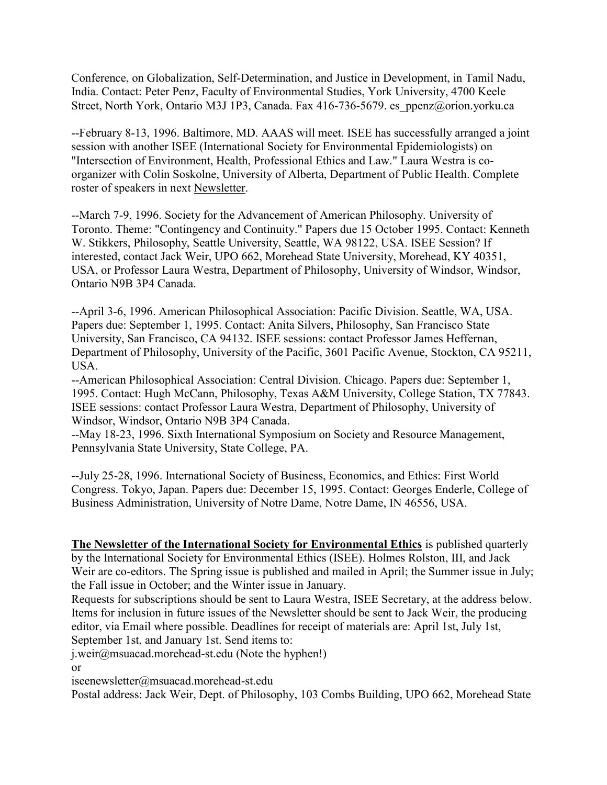Conference, on Globalization, Self-Determination, and Justice in Development, in Tamil Nadu, India. Contact: Peter Penz, Faculty of Environmental Studies, York University, 4700 Keele Street, North York, Ontario M3J 1P3, Canada. Fax 416-736-5679. es\_ppenz@orion.yorku.ca

--February 8-13, 1996. Baltimore, MD. AAAS will meet. ISEE has successfully arranged a joint session with another ISEE (International Society for Environmental Epidemiologists) on "Intersection of Environment, Health, Professional Ethics and Law." Laura Westra is coorganizer with Colin Soskolne, University of Alberta, Department of Public Health. Complete roster of speakers in next Newsletter.

--March 7-9, 1996. Society for the Advancement of American Philosophy. University of Toronto. Theme: "Contingency and Continuity." Papers due 15 October 1995. Contact: Kenneth W. Stikkers, Philosophy, Seattle University, Seattle, WA 98122, USA. ISEE Session? If interested, contact Jack Weir, UPO 662, Morehead State University, Morehead, KY 40351, USA, or Professor Laura Westra, Department of Philosophy, University of Windsor, Windsor, Ontario N9B 3P4 Canada.

--April 3-6, 1996. American Philosophical Association: Pacific Division. Seattle, WA, USA. Papers due: September 1, 1995. Contact: Anita Silvers, Philosophy, San Francisco State University, San Francisco, CA 94132. ISEE sessions: contact Professor James Heffernan, Department of Philosophy, University of the Pacific, 3601 Pacific Avenue, Stockton, CA 95211, USA.

--American Philosophical Association: Central Division. Chicago. Papers due: September 1, 1995. Contact: Hugh McCann, Philosophy, Texas A&M University, College Station, TX 77843. ISEE sessions: contact Professor Laura Westra, Department of Philosophy, University of Windsor, Windsor, Ontario N9B 3P4 Canada.

--May 18-23, 1996. Sixth International Symposium on Society and Resource Management, Pennsylvania State University, State College, PA.

--July 25-28, 1996. International Society of Business, Economics, and Ethics: First World Congress. Tokyo, Japan. Papers due: December 15, 1995. Contact: Georges Enderle, College of Business Administration, University of Notre Dame, Notre Dame, IN 46556, USA.

**The Newsletter of the International Society for Environmental Ethics** is published quarterly by the International Society for Environmental Ethics (ISEE). Holmes Rolston, III, and Jack Weir are co-editors. The Spring issue is published and mailed in April; the Summer issue in July; the Fall issue in October; and the Winter issue in January.

Requests for subscriptions should be sent to Laura Westra, ISEE Secretary, at the address below. Items for inclusion in future issues of the Newsletter should be sent to Jack Weir, the producing editor, via Email where possible. Deadlines for receipt of materials are: April 1st, July 1st, September 1st, and January 1st. Send items to:

j.weir@msuacad.morehead-st.edu (Note the hyphen!)

or

iseenewsletter@msuacad.morehead-st.edu

Postal address: Jack Weir, Dept. of Philosophy, 103 Combs Building, UPO 662, Morehead State